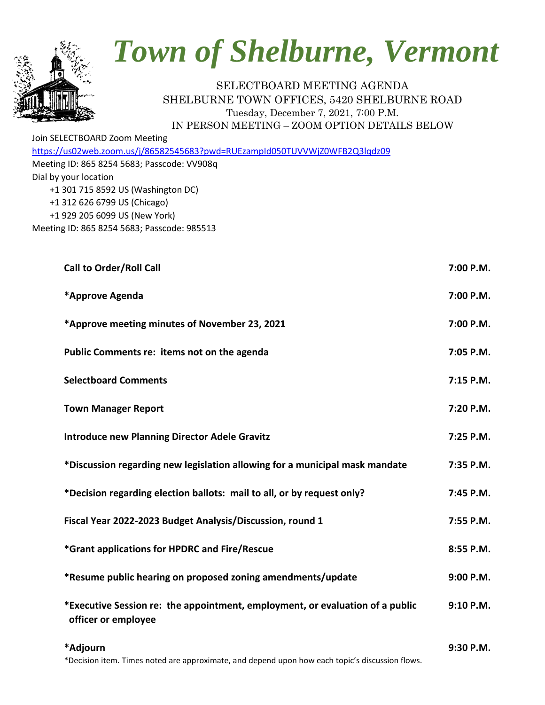

# *Town of Shelburne, Vermont*

## SELECTBOARD MEETING AGENDA SHELBURNE TOWN OFFICES, 5420 SHELBURNE ROAD Tuesday, December 7, 2021, 7:00 P.M. IN PERSON MEETING – ZOOM OPTION DETAILS BELOW

| Join SELECTBOARD Zoom Meeting                                              |
|----------------------------------------------------------------------------|
| https://us02web.zoom.us/j/86582545683?pwd=RUEzampId050TUVVWjZ0WFB2Q3lqdz09 |
| Meeting ID: 865 8254 5683; Passcode: VV908q                                |
| Dial by your location                                                      |
| +1 301 715 8592 US (Washington DC)                                         |
| +1 312 626 6799 US (Chicago)                                               |
| +1 929 205 6099 US (New York)                                              |
| Meeting ID: 865 8254 5683; Passcode: 985513                                |
|                                                                            |

| <b>Call to Order/Roll Call</b>                                                                              | 7:00 P.M. |
|-------------------------------------------------------------------------------------------------------------|-----------|
| *Approve Agenda                                                                                             | 7:00 P.M. |
| *Approve meeting minutes of November 23, 2021                                                               | 7:00 P.M. |
| Public Comments re: items not on the agenda                                                                 | 7:05 P.M. |
| <b>Selectboard Comments</b>                                                                                 | 7:15 P.M. |
| <b>Town Manager Report</b>                                                                                  | 7:20 P.M. |
| <b>Introduce new Planning Director Adele Gravitz</b>                                                        | 7:25 P.M. |
| *Discussion regarding new legislation allowing for a municipal mask mandate                                 | 7:35 P.M. |
| *Decision regarding election ballots: mail to all, or by request only?                                      | 7:45 P.M. |
| Fiscal Year 2022-2023 Budget Analysis/Discussion, round 1                                                   | 7:55 P.M. |
| *Grant applications for HPDRC and Fire/Rescue                                                               | 8:55 P.M. |
| *Resume public hearing on proposed zoning amendments/update                                                 | 9:00 P.M. |
| *Executive Session re: the appointment, employment, or evaluation of a public<br>officer or employee        | 9:10 P.M. |
| *Adjourn<br>*Decision item. Times noted are approximate, and depend upon how each topic's discussion flows. | 9:30 P.M. |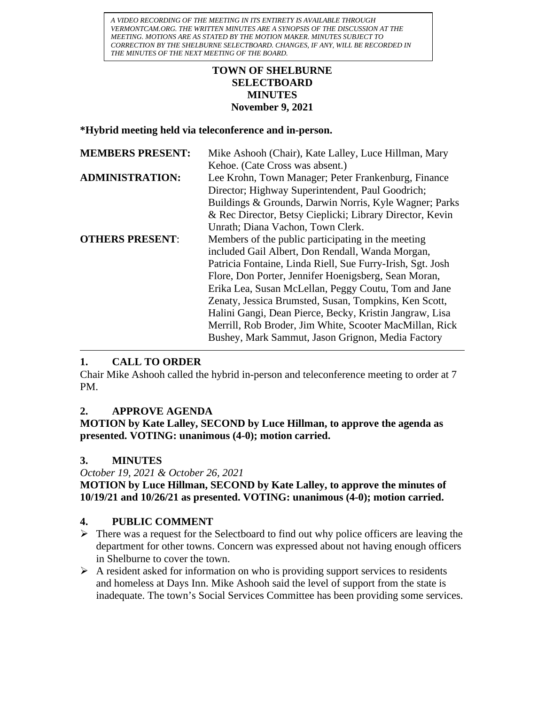*A VIDEO RECORDING OF THE MEETING IN ITS ENTIRETY IS AVAILABLE THROUGH VERMONTCAM.ORG. THE WRITTEN MINUTES ARE A SYNOPSIS OF THE DISCUSSION AT THE MEETING. MOTIONS ARE AS STATED BY THE MOTION MAKER. MINUTES SUBJECT TO CORRECTION BY THE SHELBURNE SELECTBOARD. CHANGES, IF ANY, WILL BE RECORDED IN THE MINUTES OF THE NEXT MEETING OF THE BOARD.*

## **TOWN OF SHELBURNE SELECTBOARD MINUTES November 9, 2021**

**\*Hybrid meeting held via teleconference and in-person.**

| <b>MEMBERS PRESENT:</b> | Mike Ashooh (Chair), Kate Lalley, Luce Hillman, Mary       |
|-------------------------|------------------------------------------------------------|
|                         | Kehoe. (Cate Cross was absent.)                            |
| <b>ADMINISTRATION:</b>  | Lee Krohn, Town Manager; Peter Frankenburg, Finance        |
|                         | Director; Highway Superintendent, Paul Goodrich;           |
|                         | Buildings & Grounds, Darwin Norris, Kyle Wagner; Parks     |
|                         | & Rec Director, Betsy Cieplicki; Library Director, Kevin   |
|                         | Unrath; Diana Vachon, Town Clerk.                          |
| <b>OTHERS PRESENT:</b>  | Members of the public participating in the meeting         |
|                         | included Gail Albert, Don Rendall, Wanda Morgan,           |
|                         | Patricia Fontaine, Linda Riell, Sue Furry-Irish, Sgt. Josh |
|                         | Flore, Don Porter, Jennifer Hoenigsberg, Sean Moran,       |
|                         | Erika Lea, Susan McLellan, Peggy Coutu, Tom and Jane       |
|                         | Zenaty, Jessica Brumsted, Susan, Tompkins, Ken Scott,      |
|                         | Halini Gangi, Dean Pierce, Becky, Kristin Jangraw, Lisa    |
|                         | Merrill, Rob Broder, Jim White, Scooter MacMillan, Rick    |
|                         | Bushey, Mark Sammut, Jason Grignon, Media Factory          |
|                         |                                                            |

## **1. CALL TO ORDER**

Chair Mike Ashooh called the hybrid in-person and teleconference meeting to order at 7 PM.

## **2. APPROVE AGENDA**

**MOTION by Kate Lalley, SECOND by Luce Hillman, to approve the agenda as presented. VOTING: unanimous (4-0); motion carried.**

## **3. MINUTES**

*October 19, 2021 & October 26, 2021*

## **MOTION by Luce Hillman, SECOND by Kate Lalley, to approve the minutes of 10/19/21 and 10/26/21 as presented. VOTING: unanimous (4-0); motion carried.**

## **4. PUBLIC COMMENT**

- $\triangleright$  There was a request for the Selectboard to find out why police officers are leaving the department for other towns. Concern was expressed about not having enough officers in Shelburne to cover the town.
- $\triangleright$  A resident asked for information on who is providing support services to residents and homeless at Days Inn. Mike Ashooh said the level of support from the state is inadequate. The town's Social Services Committee has been providing some services.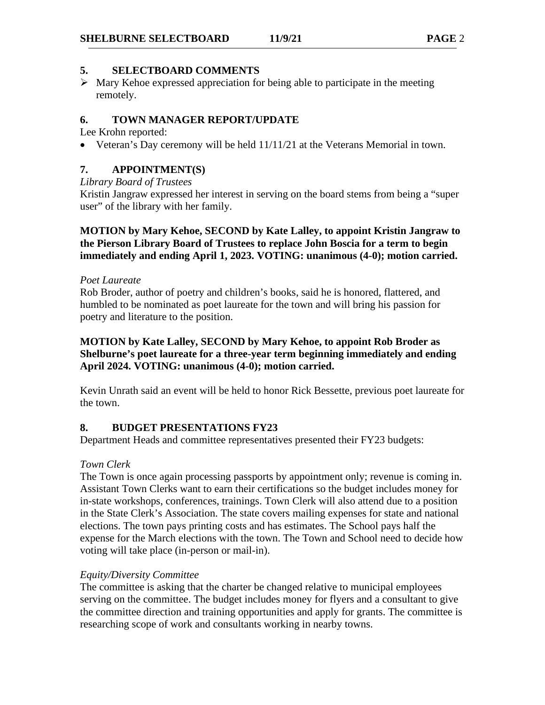## **5. SELECTBOARD COMMENTS**

 $\triangleright$  Mary Kehoe expressed appreciation for being able to participate in the meeting remotely.

## **6. TOWN MANAGER REPORT/UPDATE**

Lee Krohn reported:

• Veteran's Day ceremony will be held 11/11/21 at the Veterans Memorial in town.

## **7. APPOINTMENT(S)**

## *Library Board of Trustees*

Kristin Jangraw expressed her interest in serving on the board stems from being a "super user" of the library with her family.

## **MOTION by Mary Kehoe, SECOND by Kate Lalley, to appoint Kristin Jangraw to the Pierson Library Board of Trustees to replace John Boscia for a term to begin immediately and ending April 1, 2023. VOTING: unanimous (4-0); motion carried.**

## *Poet Laureate*

Rob Broder, author of poetry and children's books, said he is honored, flattered, and humbled to be nominated as poet laureate for the town and will bring his passion for poetry and literature to the position.

## **MOTION by Kate Lalley, SECOND by Mary Kehoe, to appoint Rob Broder as Shelburne's poet laureate for a three-year term beginning immediately and ending April 2024. VOTING: unanimous (4-0); motion carried.**

Kevin Unrath said an event will be held to honor Rick Bessette, previous poet laureate for the town.

## **8. BUDGET PRESENTATIONS FY23**

Department Heads and committee representatives presented their FY23 budgets:

## *Town Clerk*

The Town is once again processing passports by appointment only; revenue is coming in. Assistant Town Clerks want to earn their certifications so the budget includes money for in-state workshops, conferences, trainings. Town Clerk will also attend due to a position in the State Clerk's Association. The state covers mailing expenses for state and national elections. The town pays printing costs and has estimates. The School pays half the expense for the March elections with the town. The Town and School need to decide how voting will take place (in-person or mail-in).

## *Equity/Diversity Committee*

The committee is asking that the charter be changed relative to municipal employees serving on the committee. The budget includes money for flyers and a consultant to give the committee direction and training opportunities and apply for grants. The committee is researching scope of work and consultants working in nearby towns.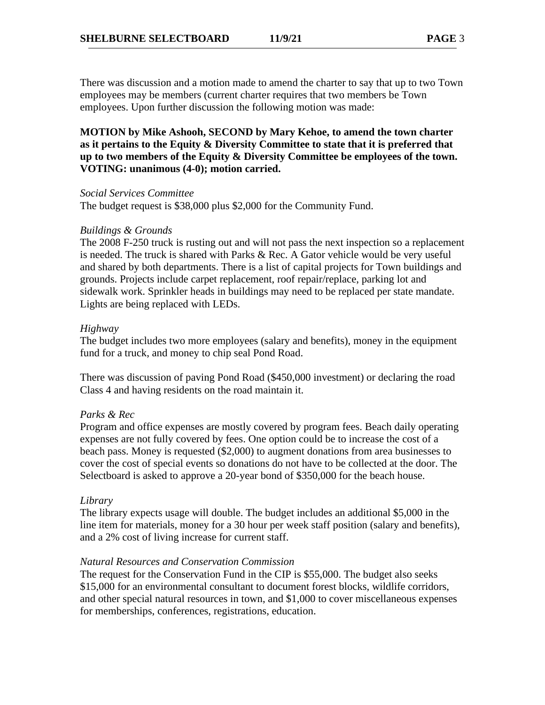There was discussion and a motion made to amend the charter to say that up to two Town employees may be members (current charter requires that two members be Town employees. Upon further discussion the following motion was made:

**MOTION by Mike Ashooh, SECOND by Mary Kehoe, to amend the town charter as it pertains to the Equity & Diversity Committee to state that it is preferred that up to two members of the Equity & Diversity Committee be employees of the town. VOTING: unanimous (4-0); motion carried.**

#### *Social Services Committee*

The budget request is \$38,000 plus \$2,000 for the Community Fund.

#### *Buildings & Grounds*

The 2008 F-250 truck is rusting out and will not pass the next inspection so a replacement is needed. The truck is shared with Parks  $& Rec. A Gator$  vehicle would be very useful and shared by both departments. There is a list of capital projects for Town buildings and grounds. Projects include carpet replacement, roof repair/replace, parking lot and sidewalk work. Sprinkler heads in buildings may need to be replaced per state mandate. Lights are being replaced with LEDs.

#### *Highway*

The budget includes two more employees (salary and benefits), money in the equipment fund for a truck, and money to chip seal Pond Road.

There was discussion of paving Pond Road (\$450,000 investment) or declaring the road Class 4 and having residents on the road maintain it.

#### *Parks & Rec*

Program and office expenses are mostly covered by program fees. Beach daily operating expenses are not fully covered by fees. One option could be to increase the cost of a beach pass. Money is requested (\$2,000) to augment donations from area businesses to cover the cost of special events so donations do not have to be collected at the door. The Selectboard is asked to approve a 20-year bond of \$350,000 for the beach house.

#### *Library*

The library expects usage will double. The budget includes an additional \$5,000 in the line item for materials, money for a 30 hour per week staff position (salary and benefits), and a 2% cost of living increase for current staff.

#### *Natural Resources and Conservation Commission*

The request for the Conservation Fund in the CIP is \$55,000. The budget also seeks \$15,000 for an environmental consultant to document forest blocks, wildlife corridors, and other special natural resources in town, and \$1,000 to cover miscellaneous expenses for memberships, conferences, registrations, education.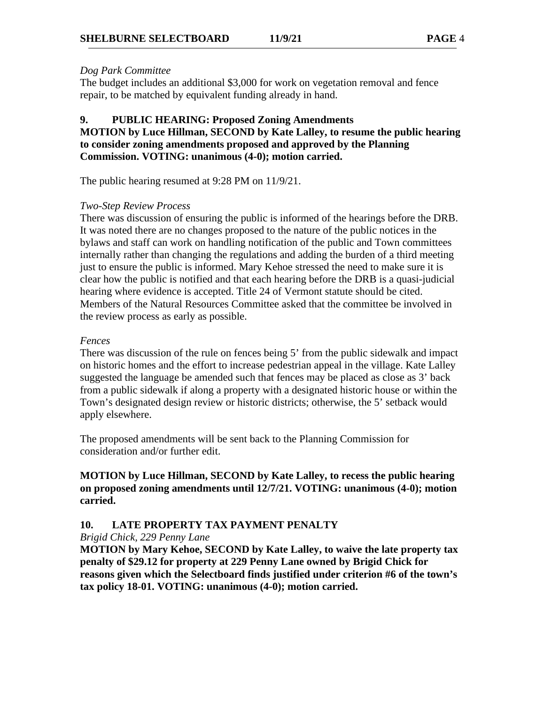### *Dog Park Committee*

The budget includes an additional \$3,000 for work on vegetation removal and fence repair, to be matched by equivalent funding already in hand.

## **9. PUBLIC HEARING: Proposed Zoning Amendments**

## **MOTION by Luce Hillman, SECOND by Kate Lalley, to resume the public hearing to consider zoning amendments proposed and approved by the Planning Commission. VOTING: unanimous (4-0); motion carried.**

The public hearing resumed at 9:28 PM on 11/9/21.

## *Two-Step Review Process*

There was discussion of ensuring the public is informed of the hearings before the DRB. It was noted there are no changes proposed to the nature of the public notices in the bylaws and staff can work on handling notification of the public and Town committees internally rather than changing the regulations and adding the burden of a third meeting just to ensure the public is informed. Mary Kehoe stressed the need to make sure it is clear how the public is notified and that each hearing before the DRB is a quasi-judicial hearing where evidence is accepted. Title 24 of Vermont statute should be cited. Members of the Natural Resources Committee asked that the committee be involved in the review process as early as possible.

## *Fences*

There was discussion of the rule on fences being 5' from the public sidewalk and impact on historic homes and the effort to increase pedestrian appeal in the village. Kate Lalley suggested the language be amended such that fences may be placed as close as 3' back from a public sidewalk if along a property with a designated historic house or within the Town's designated design review or historic districts; otherwise, the 5' setback would apply elsewhere.

The proposed amendments will be sent back to the Planning Commission for consideration and/or further edit.

## **MOTION by Luce Hillman, SECOND by Kate Lalley, to recess the public hearing on proposed zoning amendments until 12/7/21. VOTING: unanimous (4-0); motion carried.**

## **10. LATE PROPERTY TAX PAYMENT PENALTY**

#### *Brigid Chick, 229 Penny Lane*

**MOTION by Mary Kehoe, SECOND by Kate Lalley, to waive the late property tax penalty of \$29.12 for property at 229 Penny Lane owned by Brigid Chick for reasons given which the Selectboard finds justified under criterion #6 of the town's tax policy 18-01. VOTING: unanimous (4-0); motion carried.**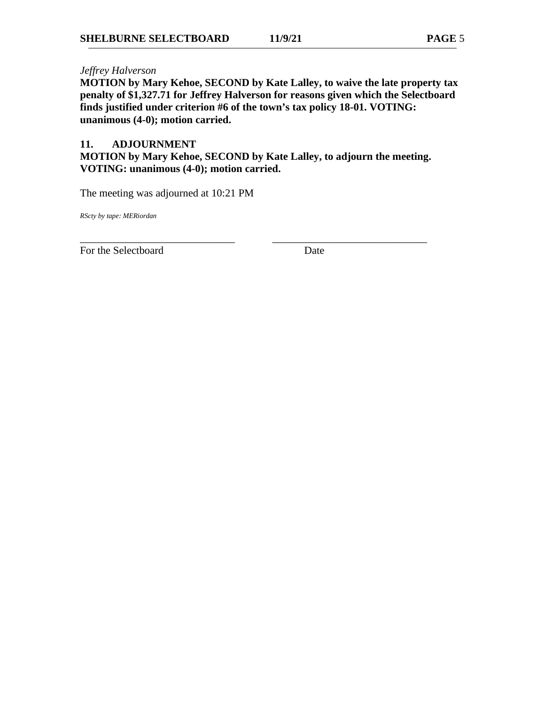## *Jeffrey Halverson*

**MOTION by Mary Kehoe, SECOND by Kate Lalley, to waive the late property tax penalty of \$1,327.71 for Jeffrey Halverson for reasons given which the Selectboard finds justified under criterion #6 of the town's tax policy 18-01. VOTING: unanimous (4-0); motion carried.**

## **11. ADJOURNMENT**

**MOTION by Mary Kehoe, SECOND by Kate Lalley, to adjourn the meeting. VOTING: unanimous (4-0); motion carried.**

\_\_\_\_\_\_\_\_\_\_\_\_\_\_\_\_\_\_\_\_\_\_\_\_\_\_\_\_\_ \_\_\_\_\_\_\_\_\_\_\_\_\_\_\_\_\_\_\_\_\_\_\_\_\_\_\_\_\_

The meeting was adjourned at 10:21 PM

*RScty by tape: MERiordan*

For the Selectboard Date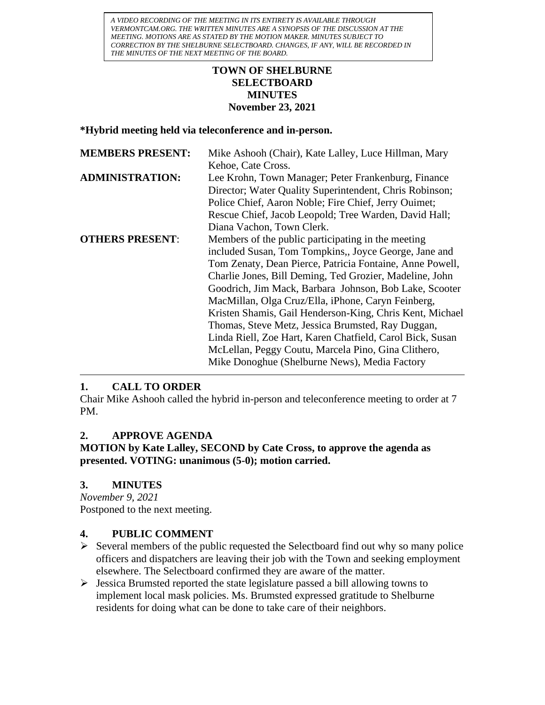*A VIDEO RECORDING OF THE MEETING IN ITS ENTIRETY IS AVAILABLE THROUGH VERMONTCAM.ORG. THE WRITTEN MINUTES ARE A SYNOPSIS OF THE DISCUSSION AT THE MEETING. MOTIONS ARE AS STATED BY THE MOTION MAKER. MINUTES SUBJECT TO CORRECTION BY THE SHELBURNE SELECTBOARD. CHANGES, IF ANY, WILL BE RECORDED IN THE MINUTES OF THE NEXT MEETING OF THE BOARD.*

## **TOWN OF SHELBURNE SELECTBOARD MINUTES November 23, 2021**

**\*Hybrid meeting held via teleconference and in-person.**

| <b>MEMBERS PRESENT:</b> | Mike Ashooh (Chair), Kate Lalley, Luce Hillman, Mary      |
|-------------------------|-----------------------------------------------------------|
|                         | Kehoe, Cate Cross.                                        |
| <b>ADMINISTRATION:</b>  | Lee Krohn, Town Manager; Peter Frankenburg, Finance       |
|                         | Director; Water Quality Superintendent, Chris Robinson;   |
|                         | Police Chief, Aaron Noble; Fire Chief, Jerry Ouimet;      |
|                         | Rescue Chief, Jacob Leopold; Tree Warden, David Hall;     |
|                         | Diana Vachon, Town Clerk.                                 |
| <b>OTHERS PRESENT:</b>  | Members of the public participating in the meeting        |
|                         | included Susan, Tom Tompkins, Joyce George, Jane and      |
|                         | Tom Zenaty, Dean Pierce, Patricia Fontaine, Anne Powell,  |
|                         | Charlie Jones, Bill Deming, Ted Grozier, Madeline, John   |
|                         | Goodrich, Jim Mack, Barbara Johnson, Bob Lake, Scooter    |
|                         | MacMillan, Olga Cruz/Ella, iPhone, Caryn Feinberg,        |
|                         | Kristen Shamis, Gail Henderson-King, Chris Kent, Michael  |
|                         | Thomas, Steve Metz, Jessica Brumsted, Ray Duggan,         |
|                         | Linda Riell, Zoe Hart, Karen Chatfield, Carol Bick, Susan |
|                         | McLellan, Peggy Coutu, Marcela Pino, Gina Clithero,       |
|                         | Mike Donoghue (Shelburne News), Media Factory             |

## **1. CALL TO ORDER**

Chair Mike Ashooh called the hybrid in-person and teleconference meeting to order at 7 PM.

## **2. APPROVE AGENDA**

**MOTION by Kate Lalley, SECOND by Cate Cross, to approve the agenda as presented. VOTING: unanimous (5-0); motion carried.**

## **3. MINUTES**

*November 9, 2021* Postponed to the next meeting.

## **4. PUBLIC COMMENT**

- $\triangleright$  Several members of the public requested the Selectboard find out why so many police officers and dispatchers are leaving their job with the Town and seeking employment elsewhere. The Selectboard confirmed they are aware of the matter.
- $\triangleright$  Jessica Brumsted reported the state legislature passed a bill allowing towns to implement local mask policies. Ms. Brumsted expressed gratitude to Shelburne residents for doing what can be done to take care of their neighbors.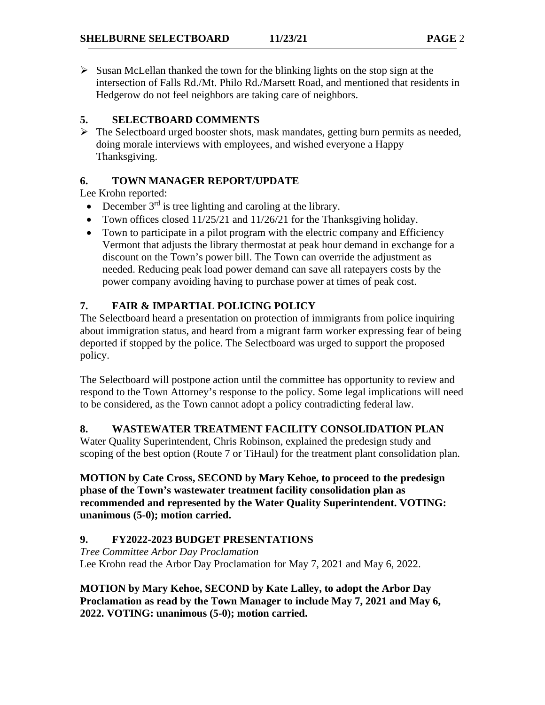$\triangleright$  Susan McLellan thanked the town for the blinking lights on the stop sign at the intersection of Falls Rd./Mt. Philo Rd./Marsett Road, and mentioned that residents in Hedgerow do not feel neighbors are taking care of neighbors.

## **5. SELECTBOARD COMMENTS**

 The Selectboard urged booster shots, mask mandates, getting burn permits as needed, doing morale interviews with employees, and wished everyone a Happy Thanksgiving.

## **6. TOWN MANAGER REPORT/UPDATE**

Lee Krohn reported:

- December  $3<sup>rd</sup>$  is tree lighting and caroling at the library.
- Town offices closed 11/25/21 and 11/26/21 for the Thanksgiving holiday.
- Town to participate in a pilot program with the electric company and Efficiency Vermont that adjusts the library thermostat at peak hour demand in exchange for a discount on the Town's power bill. The Town can override the adjustment as needed. Reducing peak load power demand can save all ratepayers costs by the power company avoiding having to purchase power at times of peak cost.

## **7. FAIR & IMPARTIAL POLICING POLICY**

The Selectboard heard a presentation on protection of immigrants from police inquiring about immigration status, and heard from a migrant farm worker expressing fear of being deported if stopped by the police. The Selectboard was urged to support the proposed policy.

The Selectboard will postpone action until the committee has opportunity to review and respond to the Town Attorney's response to the policy. Some legal implications will need to be considered, as the Town cannot adopt a policy contradicting federal law.

## **8. WASTEWATER TREATMENT FACILITY CONSOLIDATION PLAN**

Water Quality Superintendent, Chris Robinson, explained the predesign study and scoping of the best option (Route 7 or TiHaul) for the treatment plant consolidation plan.

## **MOTION by Cate Cross, SECOND by Mary Kehoe, to proceed to the predesign phase of the Town's wastewater treatment facility consolidation plan as recommended and represented by the Water Quality Superintendent. VOTING: unanimous (5-0); motion carried.**

## **9. FY2022-2023 BUDGET PRESENTATIONS**

*Tree Committee Arbor Day Proclamation* Lee Krohn read the Arbor Day Proclamation for May 7, 2021 and May 6, 2022.

**MOTION by Mary Kehoe, SECOND by Kate Lalley, to adopt the Arbor Day Proclamation as read by the Town Manager to include May 7, 2021 and May 6, 2022. VOTING: unanimous (5-0); motion carried.**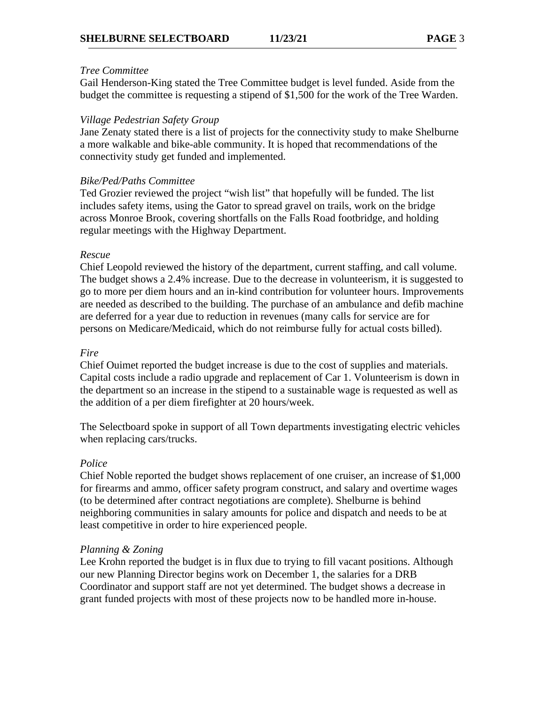## *Tree Committee*

Gail Henderson-King stated the Tree Committee budget is level funded. Aside from the budget the committee is requesting a stipend of \$1,500 for the work of the Tree Warden.

## *Village Pedestrian Safety Group*

Jane Zenaty stated there is a list of projects for the connectivity study to make Shelburne a more walkable and bike-able community. It is hoped that recommendations of the connectivity study get funded and implemented.

## *Bike/Ped/Paths Committee*

Ted Grozier reviewed the project "wish list" that hopefully will be funded. The list includes safety items, using the Gator to spread gravel on trails, work on the bridge across Monroe Brook, covering shortfalls on the Falls Road footbridge, and holding regular meetings with the Highway Department.

## *Rescue*

Chief Leopold reviewed the history of the department, current staffing, and call volume. The budget shows a 2.4% increase. Due to the decrease in volunteerism, it is suggested to go to more per diem hours and an in-kind contribution for volunteer hours. Improvements are needed as described to the building. The purchase of an ambulance and defib machine are deferred for a year due to reduction in revenues (many calls for service are for persons on Medicare/Medicaid, which do not reimburse fully for actual costs billed).

## *Fire*

Chief Ouimet reported the budget increase is due to the cost of supplies and materials. Capital costs include a radio upgrade and replacement of Car 1. Volunteerism is down in the department so an increase in the stipend to a sustainable wage is requested as well as the addition of a per diem firefighter at 20 hours/week.

The Selectboard spoke in support of all Town departments investigating electric vehicles when replacing cars/trucks.

## *Police*

Chief Noble reported the budget shows replacement of one cruiser, an increase of \$1,000 for firearms and ammo, officer safety program construct, and salary and overtime wages (to be determined after contract negotiations are complete). Shelburne is behind neighboring communities in salary amounts for police and dispatch and needs to be at least competitive in order to hire experienced people.

## *Planning & Zoning*

Lee Krohn reported the budget is in flux due to trying to fill vacant positions. Although our new Planning Director begins work on December 1, the salaries for a DRB Coordinator and support staff are not yet determined. The budget shows a decrease in grant funded projects with most of these projects now to be handled more in-house.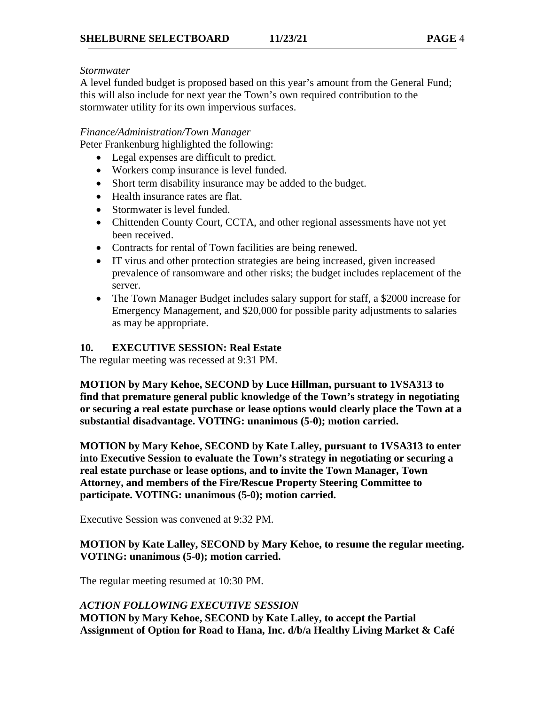## *Stormwater*

A level funded budget is proposed based on this year's amount from the General Fund; this will also include for next year the Town's own required contribution to the stormwater utility for its own impervious surfaces.

## *Finance/Administration/Town Manager*

Peter Frankenburg highlighted the following:

- Legal expenses are difficult to predict.
- Workers comp insurance is level funded.
- Short term disability insurance may be added to the budget.
- Health insurance rates are flat.
- Stormwater is level funded.
- Chittenden County Court, CCTA, and other regional assessments have not yet been received.
- Contracts for rental of Town facilities are being renewed.
- IT virus and other protection strategies are being increased, given increased prevalence of ransomware and other risks; the budget includes replacement of the server.
- The Town Manager Budget includes salary support for staff, a \$2000 increase for Emergency Management, and \$20,000 for possible parity adjustments to salaries as may be appropriate.

## **10. EXECUTIVE SESSION: Real Estate**

The regular meeting was recessed at 9:31 PM.

**MOTION by Mary Kehoe, SECOND by Luce Hillman, pursuant to 1VSA313 to find that premature general public knowledge of the Town's strategy in negotiating or securing a real estate purchase or lease options would clearly place the Town at a substantial disadvantage. VOTING: unanimous (5-0); motion carried.**

**MOTION by Mary Kehoe, SECOND by Kate Lalley, pursuant to 1VSA313 to enter into Executive Session to evaluate the Town's strategy in negotiating or securing a real estate purchase or lease options, and to invite the Town Manager, Town Attorney, and members of the Fire/Rescue Property Steering Committee to participate. VOTING: unanimous (5-0); motion carried.**

Executive Session was convened at 9:32 PM.

**MOTION by Kate Lalley, SECOND by Mary Kehoe, to resume the regular meeting. VOTING: unanimous (5-0); motion carried.**

The regular meeting resumed at 10:30 PM.

## *ACTION FOLLOWING EXECUTIVE SESSION*

**MOTION by Mary Kehoe, SECOND by Kate Lalley, to accept the Partial Assignment of Option for Road to Hana, Inc. d/b/a Healthy Living Market & Café**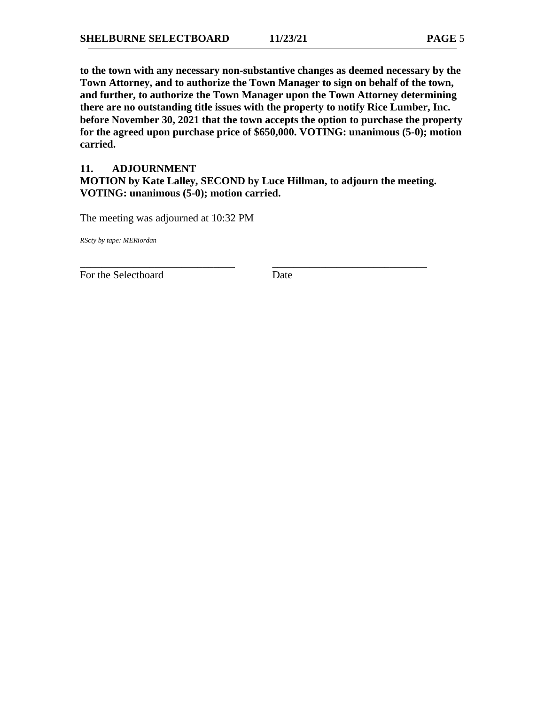**to the town with any necessary non-substantive changes as deemed necessary by the Town Attorney, and to authorize the Town Manager to sign on behalf of the town, and further, to authorize the Town Manager upon the Town Attorney determining there are no outstanding title issues with the property to notify Rice Lumber, Inc. before November 30, 2021 that the town accepts the option to purchase the property for the agreed upon purchase price of \$650,000. VOTING: unanimous (5-0); motion carried.**

## **11. ADJOURNMENT**

**MOTION by Kate Lalley, SECOND by Luce Hillman, to adjourn the meeting. VOTING: unanimous (5-0); motion carried.**

The meeting was adjourned at 10:32 PM

*RScty by tape: MERiordan*

\_\_\_\_\_\_\_\_\_\_\_\_\_\_\_\_\_\_\_\_\_\_\_\_\_\_\_\_\_ \_\_\_\_\_\_\_\_\_\_\_\_\_\_\_\_\_\_\_\_\_\_\_\_\_\_\_\_\_ For the Selectboard Date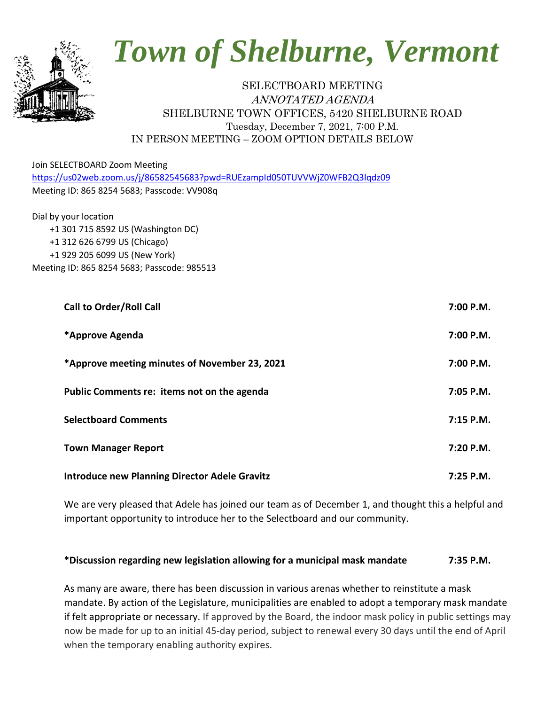

# *Town of Shelburne, Vermont*

SELECTBOARD MEETING ANNOTATED AGENDA SHELBURNE TOWN OFFICES, 5420 SHELBURNE ROAD Tuesday, December 7, 2021, 7:00 P.M. IN PERSON MEETING – ZOOM OPTION DETAILS BELOW

| Join SELECTBOARD Zoom Meeting                                              |           |
|----------------------------------------------------------------------------|-----------|
| https://us02web.zoom.us/j/86582545683?pwd=RUEzampId050TUVVWjZ0WFB2Q3lqdz09 |           |
| Meeting ID: 865 8254 5683; Passcode: VV908q                                |           |
| Dial by your location                                                      |           |
| +1 301 715 8592 US (Washington DC)                                         |           |
| +1 312 626 6799 US (Chicago)                                               |           |
| +1 929 205 6099 US (New York)                                              |           |
| Meeting ID: 865 8254 5683; Passcode: 985513                                |           |
| <b>Call to Order/Roll Call</b>                                             | 7:00 P.M. |
| *Approve Agenda                                                            | 7:00 P.M. |

| *Approve meeting minutes of November 23, 2021        | 7:00 P.M.   |
|------------------------------------------------------|-------------|
| Public Comments re: items not on the agenda          | $7:05$ P.M. |
| <b>Selectboard Comments</b>                          | $7:15$ P.M. |
| <b>Town Manager Report</b>                           | 7:20 P.M.   |
| <b>Introduce new Planning Director Adele Gravitz</b> | $7:25$ P.M. |

We are very pleased that Adele has joined our team as of December 1, and thought this a helpful and important opportunity to introduce her to the Selectboard and our community.

## **\*Discussion regarding new legislation allowing for a municipal mask mandate 7:35 P.M.**

As many are aware, there has been discussion in various arenas whether to reinstitute a mask mandate. By action of the Legislature, municipalities are enabled to adopt a temporary mask mandate if felt appropriate or necessary. If approved by the Board, the indoor mask policy in public settings may now be made for up to an initial 45-day period, subject to renewal every 30 days until the end of April when the temporary enabling authority expires.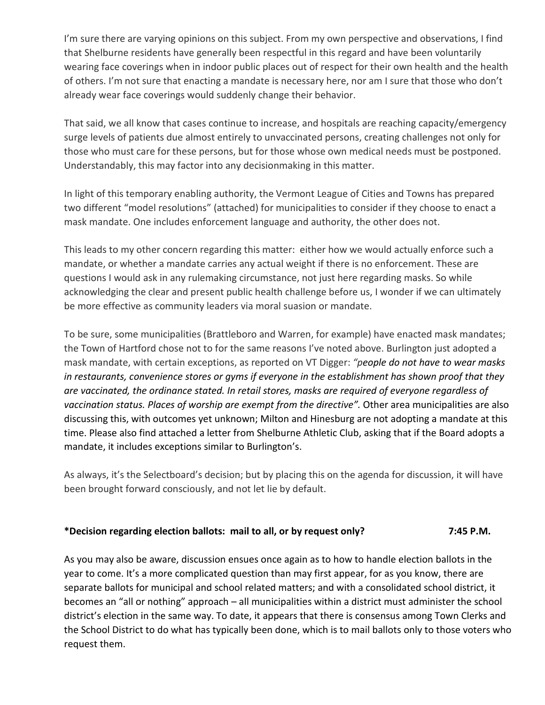I'm sure there are varying opinions on this subject. From my own perspective and observations, I find that Shelburne residents have generally been respectful in this regard and have been voluntarily wearing face coverings when in indoor public places out of respect for their own health and the health of others. I'm not sure that enacting a mandate is necessary here, nor am I sure that those who don't already wear face coverings would suddenly change their behavior.

That said, we all know that cases continue to increase, and hospitals are reaching capacity/emergency surge levels of patients due almost entirely to unvaccinated persons, creating challenges not only for those who must care for these persons, but for those whose own medical needs must be postponed. Understandably, this may factor into any decisionmaking in this matter.

In light of this temporary enabling authority, the Vermont League of Cities and Towns has prepared two different "model resolutions" (attached) for municipalities to consider if they choose to enact a mask mandate. One includes enforcement language and authority, the other does not.

This leads to my other concern regarding this matter: either how we would actually enforce such a mandate, or whether a mandate carries any actual weight if there is no enforcement. These are questions I would ask in any rulemaking circumstance, not just here regarding masks. So while acknowledging the clear and present public health challenge before us, I wonder if we can ultimately be more effective as community leaders via moral suasion or mandate.

To be sure, some municipalities (Brattleboro and Warren, for example) have enacted mask mandates; the Town of Hartford chose not to for the same reasons I've noted above. Burlington just adopted a mask mandate, with certain exceptions, as reported on VT Digger: *"people do not have to wear masks in restaurants, convenience stores or gyms if everyone in the establishment has shown proof that they are vaccinated, the ordinance stated. In retail stores, masks are required of everyone regardless of*  vaccination status. Places of worship are exempt from the directive". Other area municipalities are also discussing this, with outcomes yet unknown; Milton and Hinesburg are not adopting a mandate at this time. Please also find attached a letter from Shelburne Athletic Club, asking that if the Board adopts a mandate, it includes exceptions similar to Burlington's.

As always, it's the Selectboard's decision; but by placing this on the agenda for discussion, it will have been brought forward consciously, and not let lie by default.

## **\*Decision regarding election ballots: mail to all, or by request only? 7:45 P.M.**

As you may also be aware, discussion ensues once again as to how to handle election ballots in the year to come. It's a more complicated question than may first appear, for as you know, there are separate ballots for municipal and school related matters; and with a consolidated school district, it becomes an "all or nothing" approach – all municipalities within a district must administer the school district's election in the same way. To date, it appears that there is consensus among Town Clerks and the School District to do what has typically been done, which is to mail ballots only to those voters who request them.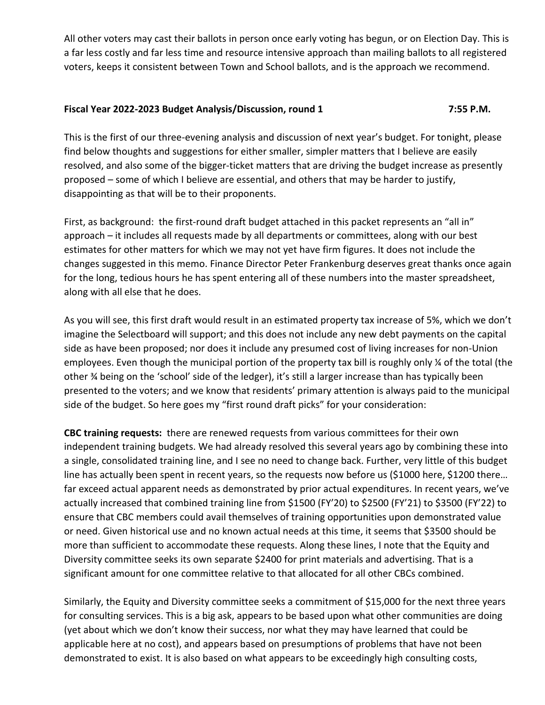All other voters may cast their ballots in person once early voting has begun, or on Election Day. This is a far less costly and far less time and resource intensive approach than mailing ballots to all registered voters, keeps it consistent between Town and School ballots, and is the approach we recommend.

## **Fiscal Year 2022-2023 Budget Analysis/Discussion, round 1 7:55 P.M.**

This is the first of our three-evening analysis and discussion of next year's budget. For tonight, please find below thoughts and suggestions for either smaller, simpler matters that I believe are easily resolved, and also some of the bigger-ticket matters that are driving the budget increase as presently proposed – some of which I believe are essential, and others that may be harder to justify, disappointing as that will be to their proponents.

First, as background: the first-round draft budget attached in this packet represents an "all in" approach – it includes all requests made by all departments or committees, along with our best estimates for other matters for which we may not yet have firm figures. It does not include the changes suggested in this memo. Finance Director Peter Frankenburg deserves great thanks once again for the long, tedious hours he has spent entering all of these numbers into the master spreadsheet, along with all else that he does.

As you will see, this first draft would result in an estimated property tax increase of 5%, which we don't imagine the Selectboard will support; and this does not include any new debt payments on the capital side as have been proposed; nor does it include any presumed cost of living increases for non-Union employees. Even though the municipal portion of the property tax bill is roughly only ¼ of the total (the other ¾ being on the 'school' side of the ledger), it's still a larger increase than has typically been presented to the voters; and we know that residents' primary attention is always paid to the municipal side of the budget. So here goes my "first round draft picks" for your consideration:

**CBC training requests:** there are renewed requests from various committees for their own independent training budgets. We had already resolved this several years ago by combining these into a single, consolidated training line, and I see no need to change back. Further, very little of this budget line has actually been spent in recent years, so the requests now before us (\$1000 here, \$1200 there… far exceed actual apparent needs as demonstrated by prior actual expenditures. In recent years, we've actually increased that combined training line from \$1500 (FY'20) to \$2500 (FY'21) to \$3500 (FY'22) to ensure that CBC members could avail themselves of training opportunities upon demonstrated value or need. Given historical use and no known actual needs at this time, it seems that \$3500 should be more than sufficient to accommodate these requests. Along these lines, I note that the Equity and Diversity committee seeks its own separate \$2400 for print materials and advertising. That is a significant amount for one committee relative to that allocated for all other CBCs combined.

Similarly, the Equity and Diversity committee seeks a commitment of \$15,000 for the next three years for consulting services. This is a big ask, appears to be based upon what other communities are doing (yet about which we don't know their success, nor what they may have learned that could be applicable here at no cost), and appears based on presumptions of problems that have not been demonstrated to exist. It is also based on what appears to be exceedingly high consulting costs,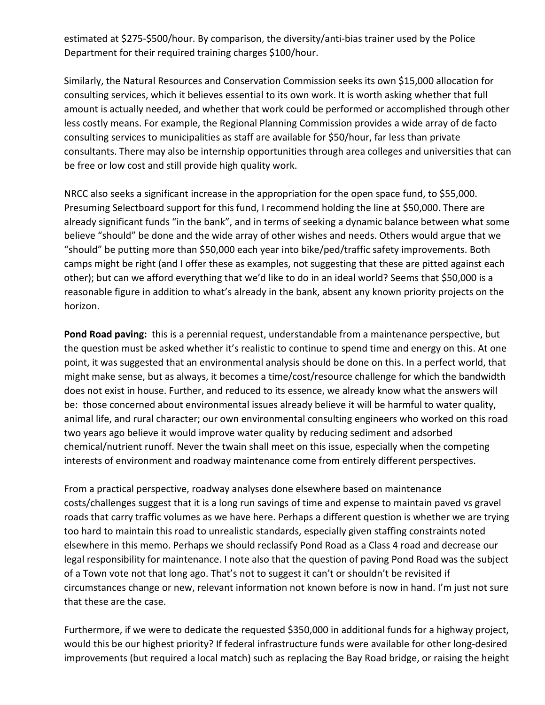estimated at \$275-\$500/hour. By comparison, the diversity/anti-bias trainer used by the Police Department for their required training charges \$100/hour.

Similarly, the Natural Resources and Conservation Commission seeks its own \$15,000 allocation for consulting services, which it believes essential to its own work. It is worth asking whether that full amount is actually needed, and whether that work could be performed or accomplished through other less costly means. For example, the Regional Planning Commission provides a wide array of de facto consulting services to municipalities as staff are available for \$50/hour, far less than private consultants. There may also be internship opportunities through area colleges and universities that can be free or low cost and still provide high quality work.

NRCC also seeks a significant increase in the appropriation for the open space fund, to \$55,000. Presuming Selectboard support for this fund, I recommend holding the line at \$50,000. There are already significant funds "in the bank", and in terms of seeking a dynamic balance between what some believe "should" be done and the wide array of other wishes and needs. Others would argue that we "should" be putting more than \$50,000 each year into bike/ped/traffic safety improvements. Both camps might be right (and I offer these as examples, not suggesting that these are pitted against each other); but can we afford everything that we'd like to do in an ideal world? Seems that \$50,000 is a reasonable figure in addition to what's already in the bank, absent any known priority projects on the horizon.

**Pond Road paving:** this is a perennial request, understandable from a maintenance perspective, but the question must be asked whether it's realistic to continue to spend time and energy on this. At one point, it was suggested that an environmental analysis should be done on this. In a perfect world, that might make sense, but as always, it becomes a time/cost/resource challenge for which the bandwidth does not exist in house. Further, and reduced to its essence, we already know what the answers will be: those concerned about environmental issues already believe it will be harmful to water quality, animal life, and rural character; our own environmental consulting engineers who worked on this road two years ago believe it would improve water quality by reducing sediment and adsorbed chemical/nutrient runoff. Never the twain shall meet on this issue, especially when the competing interests of environment and roadway maintenance come from entirely different perspectives.

From a practical perspective, roadway analyses done elsewhere based on maintenance costs/challenges suggest that it is a long run savings of time and expense to maintain paved vs gravel roads that carry traffic volumes as we have here. Perhaps a different question is whether we are trying too hard to maintain this road to unrealistic standards, especially given staffing constraints noted elsewhere in this memo. Perhaps we should reclassify Pond Road as a Class 4 road and decrease our legal responsibility for maintenance. I note also that the question of paving Pond Road was the subject of a Town vote not that long ago. That's not to suggest it can't or shouldn't be revisited if circumstances change or new, relevant information not known before is now in hand. I'm just not sure that these are the case.

Furthermore, if we were to dedicate the requested \$350,000 in additional funds for a highway project, would this be our highest priority? If federal infrastructure funds were available for other long-desired improvements (but required a local match) such as replacing the Bay Road bridge, or raising the height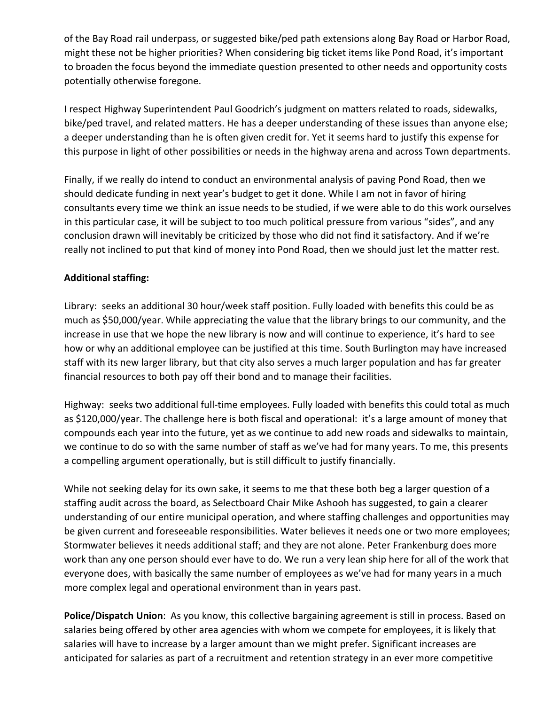of the Bay Road rail underpass, or suggested bike/ped path extensions along Bay Road or Harbor Road, might these not be higher priorities? When considering big ticket items like Pond Road, it's important to broaden the focus beyond the immediate question presented to other needs and opportunity costs potentially otherwise foregone.

I respect Highway Superintendent Paul Goodrich's judgment on matters related to roads, sidewalks, bike/ped travel, and related matters. He has a deeper understanding of these issues than anyone else; a deeper understanding than he is often given credit for. Yet it seems hard to justify this expense for this purpose in light of other possibilities or needs in the highway arena and across Town departments.

Finally, if we really do intend to conduct an environmental analysis of paving Pond Road, then we should dedicate funding in next year's budget to get it done. While I am not in favor of hiring consultants every time we think an issue needs to be studied, if we were able to do this work ourselves in this particular case, it will be subject to too much political pressure from various "sides", and any conclusion drawn will inevitably be criticized by those who did not find it satisfactory. And if we're really not inclined to put that kind of money into Pond Road, then we should just let the matter rest.

## **Additional staffing:**

Library: seeks an additional 30 hour/week staff position. Fully loaded with benefits this could be as much as \$50,000/year. While appreciating the value that the library brings to our community, and the increase in use that we hope the new library is now and will continue to experience, it's hard to see how or why an additional employee can be justified at this time. South Burlington may have increased staff with its new larger library, but that city also serves a much larger population and has far greater financial resources to both pay off their bond and to manage their facilities.

Highway: seeks two additional full-time employees. Fully loaded with benefits this could total as much as \$120,000/year. The challenge here is both fiscal and operational: it's a large amount of money that compounds each year into the future, yet as we continue to add new roads and sidewalks to maintain, we continue to do so with the same number of staff as we've had for many years. To me, this presents a compelling argument operationally, but is still difficult to justify financially.

While not seeking delay for its own sake, it seems to me that these both beg a larger question of a staffing audit across the board, as Selectboard Chair Mike Ashooh has suggested, to gain a clearer understanding of our entire municipal operation, and where staffing challenges and opportunities may be given current and foreseeable responsibilities. Water believes it needs one or two more employees; Stormwater believes it needs additional staff; and they are not alone. Peter Frankenburg does more work than any one person should ever have to do. We run a very lean ship here for all of the work that everyone does, with basically the same number of employees as we've had for many years in a much more complex legal and operational environment than in years past.

**Police/Dispatch Union**: As you know, this collective bargaining agreement is still in process. Based on salaries being offered by other area agencies with whom we compete for employees, it is likely that salaries will have to increase by a larger amount than we might prefer. Significant increases are anticipated for salaries as part of a recruitment and retention strategy in an ever more competitive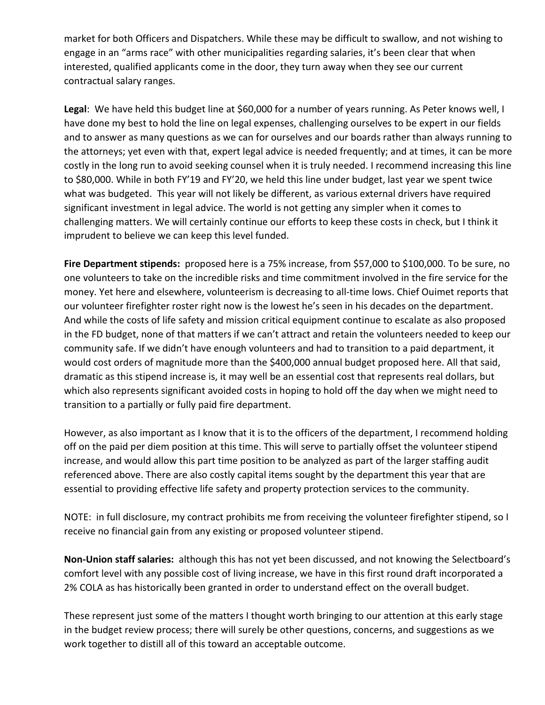market for both Officers and Dispatchers. While these may be difficult to swallow, and not wishing to engage in an "arms race" with other municipalities regarding salaries, it's been clear that when interested, qualified applicants come in the door, they turn away when they see our current contractual salary ranges.

**Legal**: We have held this budget line at \$60,000 for a number of years running. As Peter knows well, I have done my best to hold the line on legal expenses, challenging ourselves to be expert in our fields and to answer as many questions as we can for ourselves and our boards rather than always running to the attorneys; yet even with that, expert legal advice is needed frequently; and at times, it can be more costly in the long run to avoid seeking counsel when it is truly needed. I recommend increasing this line to \$80,000. While in both FY'19 and FY'20, we held this line under budget, last year we spent twice what was budgeted. This year will not likely be different, as various external drivers have required significant investment in legal advice. The world is not getting any simpler when it comes to challenging matters. We will certainly continue our efforts to keep these costs in check, but I think it imprudent to believe we can keep this level funded.

**Fire Department stipends:** proposed here is a 75% increase, from \$57,000 to \$100,000. To be sure, no one volunteers to take on the incredible risks and time commitment involved in the fire service for the money. Yet here and elsewhere, volunteerism is decreasing to all-time lows. Chief Ouimet reports that our volunteer firefighter roster right now is the lowest he's seen in his decades on the department. And while the costs of life safety and mission critical equipment continue to escalate as also proposed in the FD budget, none of that matters if we can't attract and retain the volunteers needed to keep our community safe. If we didn't have enough volunteers and had to transition to a paid department, it would cost orders of magnitude more than the \$400,000 annual budget proposed here. All that said, dramatic as this stipend increase is, it may well be an essential cost that represents real dollars, but which also represents significant avoided costs in hoping to hold off the day when we might need to transition to a partially or fully paid fire department.

However, as also important as I know that it is to the officers of the department, I recommend holding off on the paid per diem position at this time. This will serve to partially offset the volunteer stipend increase, and would allow this part time position to be analyzed as part of the larger staffing audit referenced above. There are also costly capital items sought by the department this year that are essential to providing effective life safety and property protection services to the community.

NOTE: in full disclosure, my contract prohibits me from receiving the volunteer firefighter stipend, so I receive no financial gain from any existing or proposed volunteer stipend.

**Non-Union staff salaries:** although this has not yet been discussed, and not knowing the Selectboard's comfort level with any possible cost of living increase, we have in this first round draft incorporated a 2% COLA as has historically been granted in order to understand effect on the overall budget.

These represent just some of the matters I thought worth bringing to our attention at this early stage in the budget review process; there will surely be other questions, concerns, and suggestions as we work together to distill all of this toward an acceptable outcome.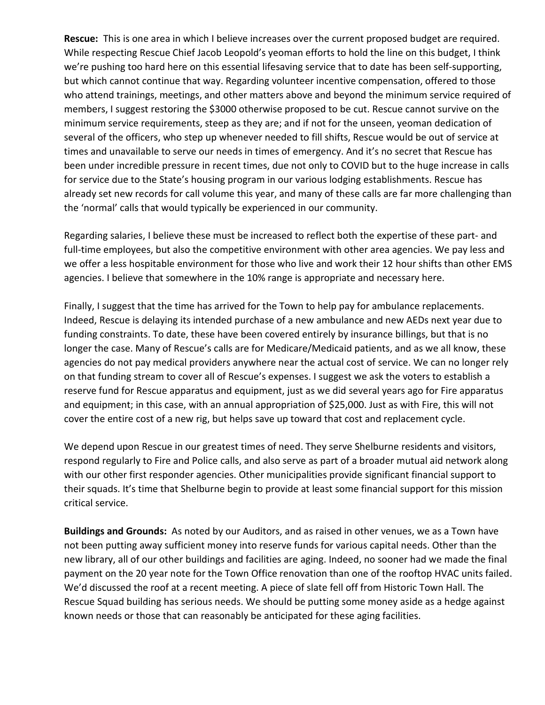**Rescue:** This is one area in which I believe increases over the current proposed budget are required. While respecting Rescue Chief Jacob Leopold's yeoman efforts to hold the line on this budget, I think we're pushing too hard here on this essential lifesaving service that to date has been self-supporting, but which cannot continue that way. Regarding volunteer incentive compensation, offered to those who attend trainings, meetings, and other matters above and beyond the minimum service required of members, I suggest restoring the \$3000 otherwise proposed to be cut. Rescue cannot survive on the minimum service requirements, steep as they are; and if not for the unseen, yeoman dedication of several of the officers, who step up whenever needed to fill shifts, Rescue would be out of service at times and unavailable to serve our needs in times of emergency. And it's no secret that Rescue has been under incredible pressure in recent times, due not only to COVID but to the huge increase in calls for service due to the State's housing program in our various lodging establishments. Rescue has already set new records for call volume this year, and many of these calls are far more challenging than the 'normal' calls that would typically be experienced in our community.

Regarding salaries, I believe these must be increased to reflect both the expertise of these part- and full-time employees, but also the competitive environment with other area agencies. We pay less and we offer a less hospitable environment for those who live and work their 12 hour shifts than other EMS agencies. I believe that somewhere in the 10% range is appropriate and necessary here.

Finally, I suggest that the time has arrived for the Town to help pay for ambulance replacements. Indeed, Rescue is delaying its intended purchase of a new ambulance and new AEDs next year due to funding constraints. To date, these have been covered entirely by insurance billings, but that is no longer the case. Many of Rescue's calls are for Medicare/Medicaid patients, and as we all know, these agencies do not pay medical providers anywhere near the actual cost of service. We can no longer rely on that funding stream to cover all of Rescue's expenses. I suggest we ask the voters to establish a reserve fund for Rescue apparatus and equipment, just as we did several years ago for Fire apparatus and equipment; in this case, with an annual appropriation of \$25,000. Just as with Fire, this will not cover the entire cost of a new rig, but helps save up toward that cost and replacement cycle.

We depend upon Rescue in our greatest times of need. They serve Shelburne residents and visitors, respond regularly to Fire and Police calls, and also serve as part of a broader mutual aid network along with our other first responder agencies. Other municipalities provide significant financial support to their squads. It's time that Shelburne begin to provide at least some financial support for this mission critical service.

**Buildings and Grounds:** As noted by our Auditors, and as raised in other venues, we as a Town have not been putting away sufficient money into reserve funds for various capital needs. Other than the new library, all of our other buildings and facilities are aging. Indeed, no sooner had we made the final payment on the 20 year note for the Town Office renovation than one of the rooftop HVAC units failed. We'd discussed the roof at a recent meeting. A piece of slate fell off from Historic Town Hall. The Rescue Squad building has serious needs. We should be putting some money aside as a hedge against known needs or those that can reasonably be anticipated for these aging facilities.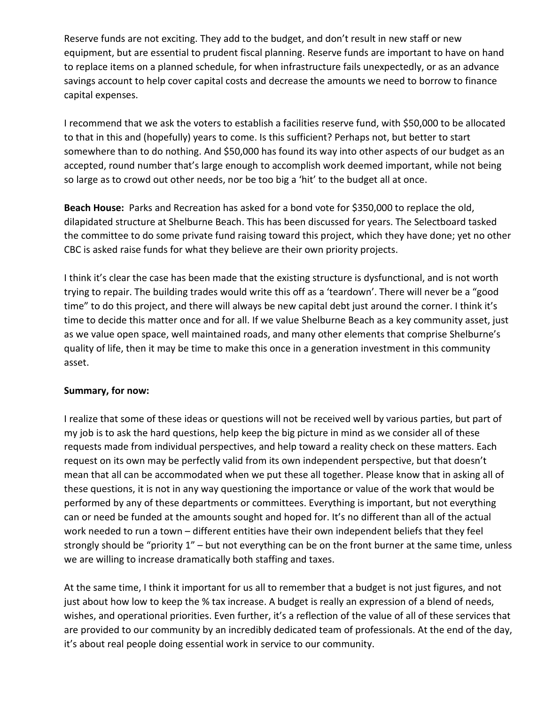Reserve funds are not exciting. They add to the budget, and don't result in new staff or new equipment, but are essential to prudent fiscal planning. Reserve funds are important to have on hand to replace items on a planned schedule, for when infrastructure fails unexpectedly, or as an advance savings account to help cover capital costs and decrease the amounts we need to borrow to finance capital expenses.

I recommend that we ask the voters to establish a facilities reserve fund, with \$50,000 to be allocated to that in this and (hopefully) years to come. Is this sufficient? Perhaps not, but better to start somewhere than to do nothing. And \$50,000 has found its way into other aspects of our budget as an accepted, round number that's large enough to accomplish work deemed important, while not being so large as to crowd out other needs, nor be too big a 'hit' to the budget all at once.

**Beach House:** Parks and Recreation has asked for a bond vote for \$350,000 to replace the old, dilapidated structure at Shelburne Beach. This has been discussed for years. The Selectboard tasked the committee to do some private fund raising toward this project, which they have done; yet no other CBC is asked raise funds for what they believe are their own priority projects.

I think it's clear the case has been made that the existing structure is dysfunctional, and is not worth trying to repair. The building trades would write this off as a 'teardown'. There will never be a "good time" to do this project, and there will always be new capital debt just around the corner. I think it's time to decide this matter once and for all. If we value Shelburne Beach as a key community asset, just as we value open space, well maintained roads, and many other elements that comprise Shelburne's quality of life, then it may be time to make this once in a generation investment in this community asset.

## **Summary, for now:**

I realize that some of these ideas or questions will not be received well by various parties, but part of my job is to ask the hard questions, help keep the big picture in mind as we consider all of these requests made from individual perspectives, and help toward a reality check on these matters. Each request on its own may be perfectly valid from its own independent perspective, but that doesn't mean that all can be accommodated when we put these all together. Please know that in asking all of these questions, it is not in any way questioning the importance or value of the work that would be performed by any of these departments or committees. Everything is important, but not everything can or need be funded at the amounts sought and hoped for. It's no different than all of the actual work needed to run a town – different entities have their own independent beliefs that they feel strongly should be "priority 1" – but not everything can be on the front burner at the same time, unless we are willing to increase dramatically both staffing and taxes.

At the same time, I think it important for us all to remember that a budget is not just figures, and not just about how low to keep the % tax increase. A budget is really an expression of a blend of needs, wishes, and operational priorities. Even further, it's a reflection of the value of all of these services that are provided to our community by an incredibly dedicated team of professionals. At the end of the day, it's about real people doing essential work in service to our community.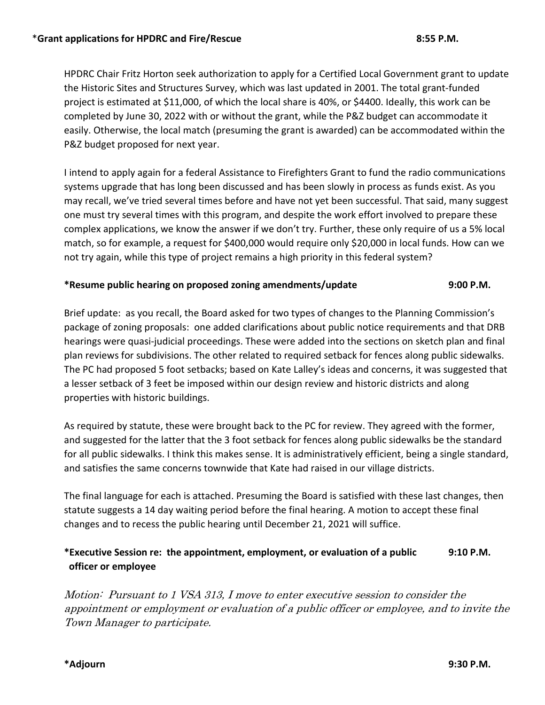HPDRC Chair Fritz Horton seek authorization to apply for a Certified Local Government grant to update the Historic Sites and Structures Survey, which was last updated in 2001. The total grant-funded project is estimated at \$11,000, of which the local share is 40%, or \$4400. Ideally, this work can be completed by June 30, 2022 with or without the grant, while the P&Z budget can accommodate it easily. Otherwise, the local match (presuming the grant is awarded) can be accommodated within the P&Z budget proposed for next year.

I intend to apply again for a federal Assistance to Firefighters Grant to fund the radio communications systems upgrade that has long been discussed and has been slowly in process as funds exist. As you may recall, we've tried several times before and have not yet been successful. That said, many suggest one must try several times with this program, and despite the work effort involved to prepare these complex applications, we know the answer if we don't try. Further, these only require of us a 5% local match, so for example, a request for \$400,000 would require only \$20,000 in local funds. How can we not try again, while this type of project remains a high priority in this federal system?

## **\*Resume public hearing on proposed zoning amendments/update 9:00 P.M.**

Brief update: as you recall, the Board asked for two types of changes to the Planning Commission's package of zoning proposals: one added clarifications about public notice requirements and that DRB hearings were quasi-judicial proceedings. These were added into the sections on sketch plan and final plan reviews for subdivisions. The other related to required setback for fences along public sidewalks. The PC had proposed 5 foot setbacks; based on Kate Lalley's ideas and concerns, it was suggested that a lesser setback of 3 feet be imposed within our design review and historic districts and along properties with historic buildings.

As required by statute, these were brought back to the PC for review. They agreed with the former, and suggested for the latter that the 3 foot setback for fences along public sidewalks be the standard for all public sidewalks. I think this makes sense. It is administratively efficient, being a single standard, and satisfies the same concerns townwide that Kate had raised in our village districts.

The final language for each is attached. Presuming the Board is satisfied with these last changes, then statute suggests a 14 day waiting period before the final hearing. A motion to accept these final changes and to recess the public hearing until December 21, 2021 will suffice.

## **\*Executive Session re: the appointment, employment, or evaluation of a public 9:10 P.M. officer or employee**

Motion: Pursuant to 1 VSA 313, I move to enter executive session to consider the appointment or employment or evaluation of a public officer or employee, and to invite the Town Manager to participate.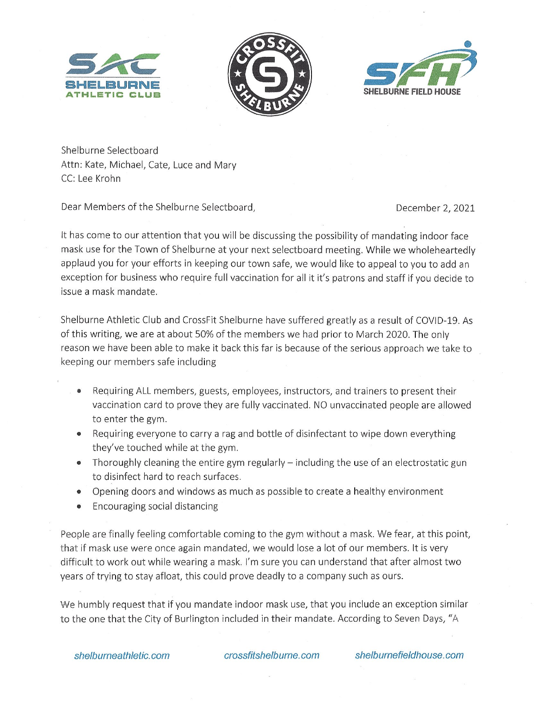





Shelburne Selectboard Attn: Kate, Michael, Cate, Luce and Mary CC: Lee Krohn

Dear Members of the Shelburne Selectboard.

December 2, 2021

It has come to our attention that you will be discussing the possibility of mandating indoor face mask use for the Town of Shelburne at your next selectboard meeting. While we wholeheartedly applaud you for your efforts in keeping our town safe, we would like to appeal to you to add an exception for business who require full vaccination for all it it's patrons and staff if you decide to issue a mask mandate.

Shelburne Athletic Club and CrossFit Shelburne have suffered greatly as a result of COVID-19. As of this writing, we are at about 50% of the members we had prior to March 2020. The only reason we have been able to make it back this far is because of the serious approach we take to keeping our members safe including

- $\bullet$ Requiring ALL members, guests, employees, instructors, and trainers to present their vaccination card to prove they are fully vaccinated. NO unvaccinated people are allowed to enter the gym.
- Requiring everyone to carry a rag and bottle of disinfectant to wipe down everything they've touched while at the gym.
- Thoroughly cleaning the entire gym regularly including the use of an electrostatic gun to disinfect hard to reach surfaces.
- Opening doors and windows as much as possible to create a healthy environment
- Encouraging social distancing  $\bullet$

People are finally feeling comfortable coming to the gym without a mask. We fear, at this point, that if mask use were once again mandated, we would lose a lot of our members. It is very difficult to work out while wearing a mask. I'm sure you can understand that after almost two years of trying to stay afloat, this could prove deadly to a company such as ours.

We humbly request that if you mandate indoor mask use, that you include an exception similar to the one that the City of Burlington included in their mandate. According to Seven Days, "A

crossfitshelburne.com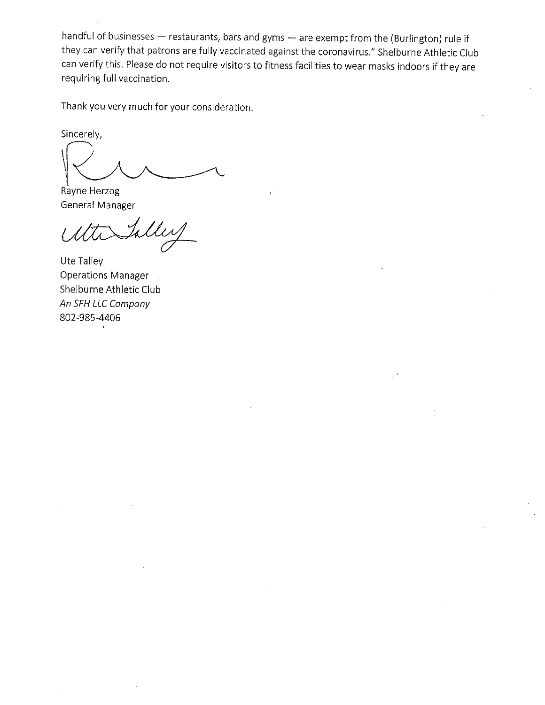handful of businesses - restaurants, bars and gyms - are exempt from the (Burlington) rule if they can verify that patrons are fully vaccinated against the coronavirus." Shelburne Athletic Club can verify this. Please do not require visitors to fitness facilities to wear masks indoors if they are requiring full vaccination.

Thank you very much for your consideration.

Sincerely,

Rayne Herzog General Manager

llu

Ute Talley Operations Manager : Shelburne Athletic Club An SFH LLC Company 802-985-4406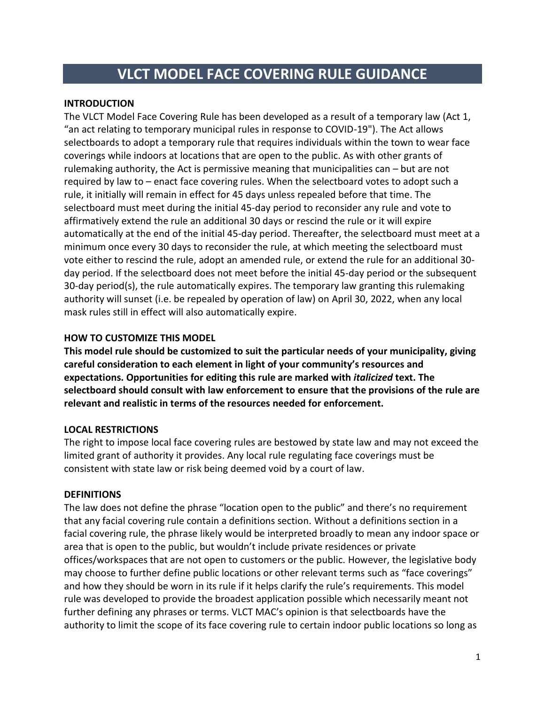## **VLCT MODEL FACE COVERING RULE GUIDANCE**

## **INTRODUCTION**

The VLCT Model Face Covering Rule has been developed as a result of a temporary law (Act 1, "an act relating to temporary municipal rules in response to COVID-19"). The Act allows selectboards to adopt a temporary rule that requires individuals within the town to wear face coverings while indoors at locations that are open to the public. As with other grants of rulemaking authority, the Act is permissive meaning that municipalities can – but are not required by law to – enact face covering rules. When the selectboard votes to adopt such a rule, it initially will remain in effect for 45 days unless repealed before that time. The selectboard must meet during the initial 45-day period to reconsider any rule and vote to affirmatively extend the rule an additional 30 days or rescind the rule or it will expire automatically at the end of the initial 45-day period. Thereafter, the selectboard must meet at a minimum once every 30 days to reconsider the rule, at which meeting the selectboard must vote either to rescind the rule, adopt an amended rule, or extend the rule for an additional 30 day period. If the selectboard does not meet before the initial 45-day period or the subsequent 30-day period(s), the rule automatically expires. The temporary law granting this rulemaking authority will sunset (i.e. be repealed by operation of law) on April 30, 2022, when any local mask rules still in effect will also automatically expire.

## **HOW TO CUSTOMIZE THIS MODEL**

**This model rule should be customized to suit the particular needs of your municipality, giving careful consideration to each element in light of your community's resources and expectations. Opportunities for editing this rule are marked with** *italicized* **text. The selectboard should consult with law enforcement to ensure that the provisions of the rule are relevant and realistic in terms of the resources needed for enforcement.**

## **LOCAL RESTRICTIONS**

The right to impose local face covering rules are bestowed by state law and may not exceed the limited grant of authority it provides. Any local rule regulating face coverings must be consistent with state law or risk being deemed void by a court of law.

#### **DEFINITIONS**

The law does not define the phrase "location open to the public" and there's no requirement that any facial covering rule contain a definitions section. Without a definitions section in a facial covering rule, the phrase likely would be interpreted broadly to mean any indoor space or area that is open to the public, but wouldn't include private residences or private offices/workspaces that are not open to customers or the public. However, the legislative body may choose to further define public locations or other relevant terms such as "face coverings" and how they should be worn in its rule if it helps clarify the rule's requirements. This model rule was developed to provide the broadest application possible which necessarily meant not further defining any phrases or terms. VLCT MAC's opinion is that selectboards have the authority to limit the scope of its face covering rule to certain indoor public locations so long as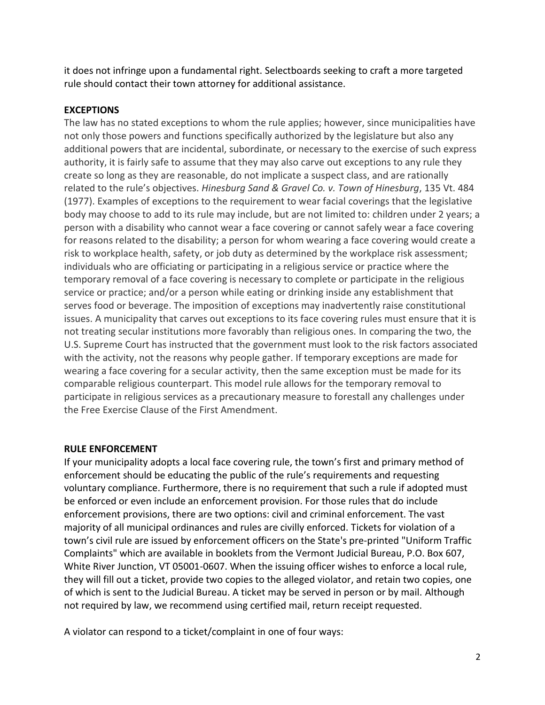it does not infringe upon a fundamental right. Selectboards seeking to craft a more targeted rule should contact their town attorney for additional assistance.

## **EXCEPTIONS**

The law has no stated exceptions to whom the rule applies; however, since municipalities have not only those powers and functions specifically authorized by the legislature but also any additional powers that are incidental, subordinate, or necessary to the exercise of such express authority, it is fairly safe to assume that they may also carve out exceptions to any rule they create so long as they are reasonable, do not implicate a suspect class, and are rationally related to the rule's objectives. *Hinesburg Sand & Gravel Co. v. Town of Hinesburg*, 135 Vt. 484 (1977). Examples of exceptions to the requirement to wear facial coverings that the legislative body may choose to add to its rule may include, but are not limited to: children under 2 years; a person with a disability who cannot wear a face covering or cannot safely wear a face covering for reasons related to the disability; a person for whom wearing a face covering would create a risk to workplace health, safety, or job duty as determined by the workplace risk assessment; individuals who are officiating or participating in a religious service or practice where the temporary removal of a face covering is necessary to complete or participate in the religious service or practice; and/or a person while eating or drinking inside any establishment that serves food or beverage. The imposition of exceptions may inadvertently raise constitutional issues. A municipality that carves out exceptions to its face covering rules must ensure that it is not treating secular institutions more favorably than religious ones. In comparing the two, the U.S. Supreme Court has instructed that the government must look to the risk factors associated with the activity, not the reasons why people gather. If temporary exceptions are made for wearing a face covering for a secular activity, then the same exception must be made for its comparable religious counterpart. This model rule allows for the temporary removal to participate in religious services as a precautionary measure to forestall any challenges under the Free Exercise Clause of the First Amendment.

## **RULE ENFORCEMENT**

If your municipality adopts a local face covering rule, the town's first and primary method of enforcement should be educating the public of the rule's requirements and requesting voluntary compliance. Furthermore, there is no requirement that such a rule if adopted must be enforced or even include an enforcement provision. For those rules that do include enforcement provisions, there are two options: civil and criminal enforcement. The vast majority of all municipal ordinances and rules are civilly enforced. Tickets for violation of a town's civil rule are issued by enforcement officers on the State's pre-printed "Uniform Traffic Complaints" which are available in booklets from the Vermont Judicial Bureau, P.O. Box 607, White River Junction, VT 05001-0607. When the issuing officer wishes to enforce a local rule, they will fill out a ticket, provide two copies to the alleged violator, and retain two copies, one of which is sent to the Judicial Bureau. A ticket may be served in person or by mail. Although not required by law, we recommend using certified mail, return receipt requested.

A violator can respond to a ticket/complaint in one of four ways: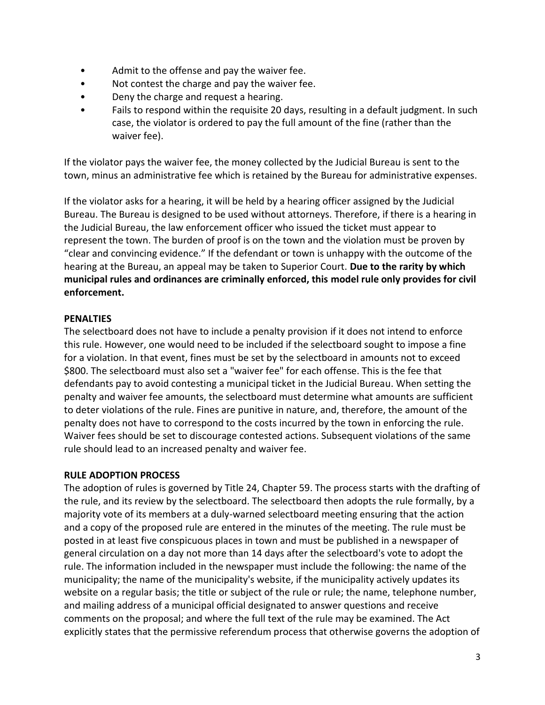- Admit to the offense and pay the waiver fee.
- Not contest the charge and pay the waiver fee.
- Deny the charge and request a hearing.
- Fails to respond within the requisite 20 days, resulting in a default judgment. In such case, the violator is ordered to pay the full amount of the fine (rather than the waiver fee).

If the violator pays the waiver fee, the money collected by the Judicial Bureau is sent to the town, minus an administrative fee which is retained by the Bureau for administrative expenses.

If the violator asks for a hearing, it will be held by a hearing officer assigned by the Judicial Bureau. The Bureau is designed to be used without attorneys. Therefore, if there is a hearing in the Judicial Bureau, the law enforcement officer who issued the ticket must appear to represent the town. The burden of proof is on the town and the violation must be proven by "clear and convincing evidence." If the defendant or town is unhappy with the outcome of the hearing at the Bureau, an appeal may be taken to Superior Court. **Due to the rarity by which municipal rules and ordinances are criminally enforced, this model rule only provides for civil enforcement.**

## **PENALTIES**

The selectboard does not have to include a penalty provision if it does not intend to enforce this rule. However, one would need to be included if the selectboard sought to impose a fine for a violation. In that event, fines must be set by the selectboard in amounts not to exceed \$800. The selectboard must also set a "waiver fee" for each offense. This is the fee that defendants pay to avoid contesting a municipal ticket in the Judicial Bureau. When setting the penalty and waiver fee amounts, the selectboard must determine what amounts are sufficient to deter violations of the rule. Fines are punitive in nature, and, therefore, the amount of the penalty does not have to correspond to the costs incurred by the town in enforcing the rule. Waiver fees should be set to discourage contested actions. Subsequent violations of the same rule should lead to an increased penalty and waiver fee.

## **RULE ADOPTION PROCESS**

The adoption of rules is governed by Title 24, Chapter 59. The process starts with the drafting of the rule, and its review by the selectboard. The selectboard then adopts the rule formally, by a majority vote of its members at a duly-warned selectboard meeting ensuring that the action and a copy of the proposed rule are entered in the minutes of the meeting. The rule must be posted in at least five conspicuous places in town and must be published in a newspaper of general circulation on a day not more than 14 days after the selectboard's vote to adopt the rule. The information included in the newspaper must include the following: the name of the municipality; the name of the municipality's website, if the municipality actively updates its website on a regular basis; the title or subject of the rule or rule; the name, telephone number, and mailing address of a municipal official designated to answer questions and receive comments on the proposal; and where the full text of the rule may be examined. The Act explicitly states that the permissive referendum process that otherwise governs the adoption of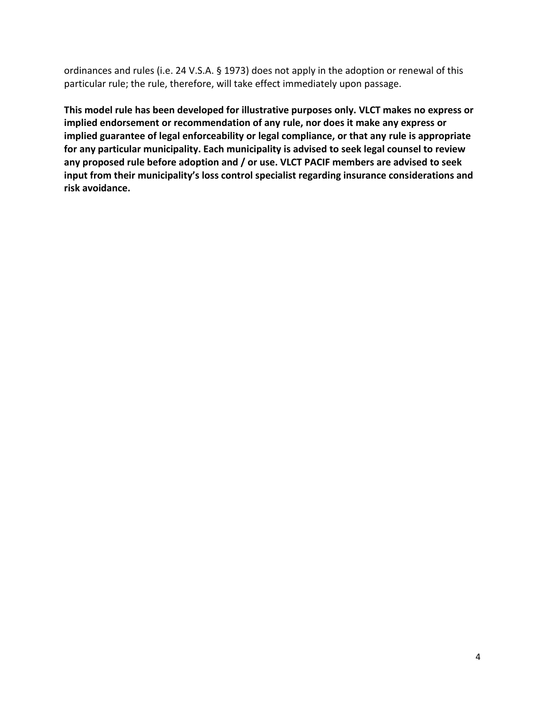ordinances and rules (i.e. 24 V.S.A. § 1973) does not apply in the adoption or renewal of this particular rule; the rule, therefore, will take effect immediately upon passage.

**This model rule has been developed for illustrative purposes only. VLCT makes no express or implied endorsement or recommendation of any rule, nor does it make any express or implied guarantee of legal enforceability or legal compliance, or that any rule is appropriate for any particular municipality. Each municipality is advised to seek legal counsel to review any proposed rule before adoption and / or use. VLCT PACIF members are advised to seek input from their municipality's loss control specialist regarding insurance considerations and risk avoidance.**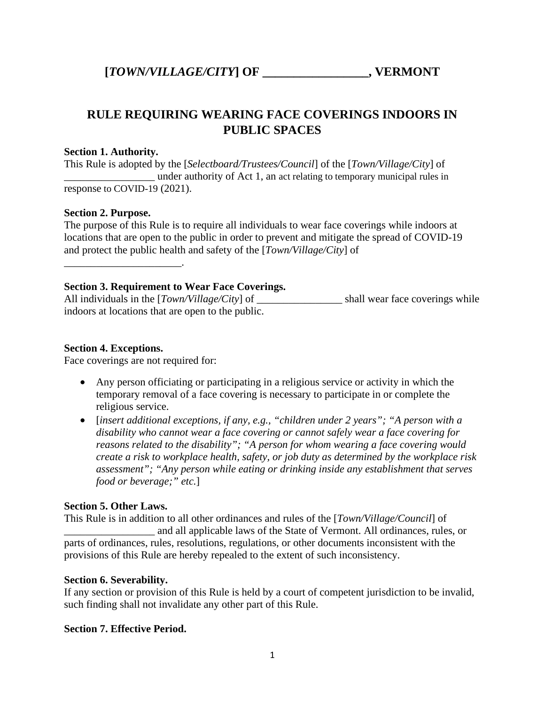## **RULE REQUIRING WEARING FACE COVERINGS INDOORS IN PUBLIC SPACES**

## **Section 1. Authority.**

This Rule is adopted by the [*Selectboard/Trustees/Council*] of the [*Town/Village/City*] of \_\_\_\_\_\_\_\_\_\_\_\_\_\_\_\_\_ under authority of Act 1, an act relating to temporary municipal rules in response to COVID-19 (2021).

## **Section 2. Purpose.**

The purpose of this Rule is to require all individuals to wear face coverings while indoors at locations that are open to the public in order to prevent and mitigate the spread of COVID-19 and protect the public health and safety of the [*Town/Village/City*] of

\_\_\_\_\_\_\_\_\_\_\_\_\_\_\_\_\_\_\_\_\_\_.

## **Section 3. Requirement to Wear Face Coverings.**

All individuals in the [*Town/Village/City*] of \_\_\_\_\_\_\_\_\_\_\_\_\_\_\_\_ shall wear face coverings while indoors at locations that are open to the public.

## **Section 4. Exceptions.**

Face coverings are not required for:

- Any person officiating or participating in a religious service or activity in which the temporary removal of a face covering is necessary to participate in or complete the religious service.
- [*insert additional exceptions, if any, e.g., "children under 2 years"; "A person with a disability who cannot wear a face covering or cannot safely wear a face covering for reasons related to the disability"; "A person for whom wearing a face covering would create a risk to workplace health, safety, or job duty as determined by the workplace risk assessment"; "Any person while eating or drinking inside any establishment that serves food or beverage;" etc.*]

## **Section 5. Other Laws.**

This Rule is in addition to all other ordinances and rules of the [*Town/Village/Council*] of \_\_\_\_\_\_\_\_\_\_\_\_\_\_\_\_\_ and all applicable laws of the State of Vermont. All ordinances, rules, or parts of ordinances, rules, resolutions, regulations, or other documents inconsistent with the provisions of this Rule are hereby repealed to the extent of such inconsistency.

## **Section 6. Severability.**

If any section or provision of this Rule is held by a court of competent jurisdiction to be invalid, such finding shall not invalidate any other part of this Rule.

## **Section 7. Effective Period.**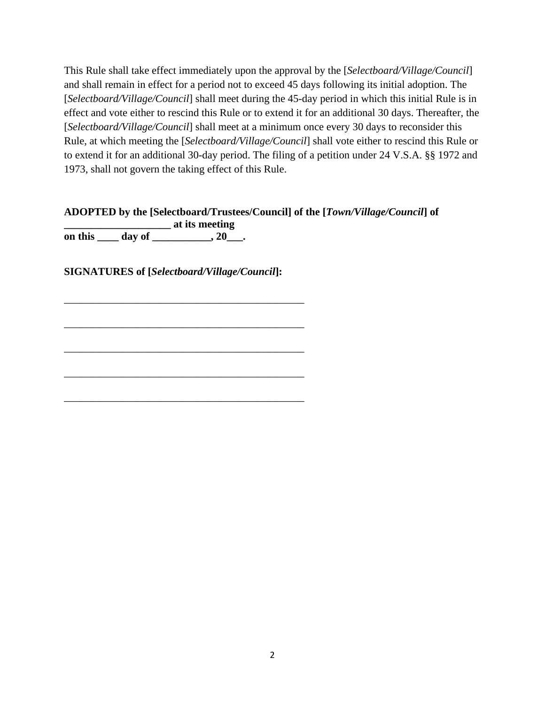This Rule shall take effect immediately upon the approval by the [*Selectboard/Village/Council*] and shall remain in effect for a period not to exceed 45 days following its initial adoption. The [*Selectboard/Village/Council*] shall meet during the 45-day period in which this initial Rule is in effect and vote either to rescind this Rule or to extend it for an additional 30 days. Thereafter, the [*Selectboard/Village/Council*] shall meet at a minimum once every 30 days to reconsider this Rule, at which meeting the [*Selectboard/Village/Council*] shall vote either to rescind this Rule or to extend it for an additional 30-day period. The filing of a petition under 24 V.S.A. §§ 1972 and 1973, shall not govern the taking effect of this Rule.

## **ADOPTED by the [Selectboard/Trustees/Council] of the [***Town/Village/Council***] of \_\_\_\_\_\_\_\_\_\_\_\_\_\_\_\_\_\_\_\_ at its meeting**  on this  $\qquad \qquad \text{day of} \qquad \qquad .20$ .

**SIGNATURES of [***Selectboard/Village/Council***]:**

\_\_\_\_\_\_\_\_\_\_\_\_\_\_\_\_\_\_\_\_\_\_\_\_\_\_\_\_\_\_\_\_\_\_\_\_\_\_\_\_\_\_\_\_\_

\_\_\_\_\_\_\_\_\_\_\_\_\_\_\_\_\_\_\_\_\_\_\_\_\_\_\_\_\_\_\_\_\_\_\_\_\_\_\_\_\_\_\_\_\_

\_\_\_\_\_\_\_\_\_\_\_\_\_\_\_\_\_\_\_\_\_\_\_\_\_\_\_\_\_\_\_\_\_\_\_\_\_\_\_\_\_\_\_\_\_

\_\_\_\_\_\_\_\_\_\_\_\_\_\_\_\_\_\_\_\_\_\_\_\_\_\_\_\_\_\_\_\_\_\_\_\_\_\_\_\_\_\_\_\_\_

\_\_\_\_\_\_\_\_\_\_\_\_\_\_\_\_\_\_\_\_\_\_\_\_\_\_\_\_\_\_\_\_\_\_\_\_\_\_\_\_\_\_\_\_\_

2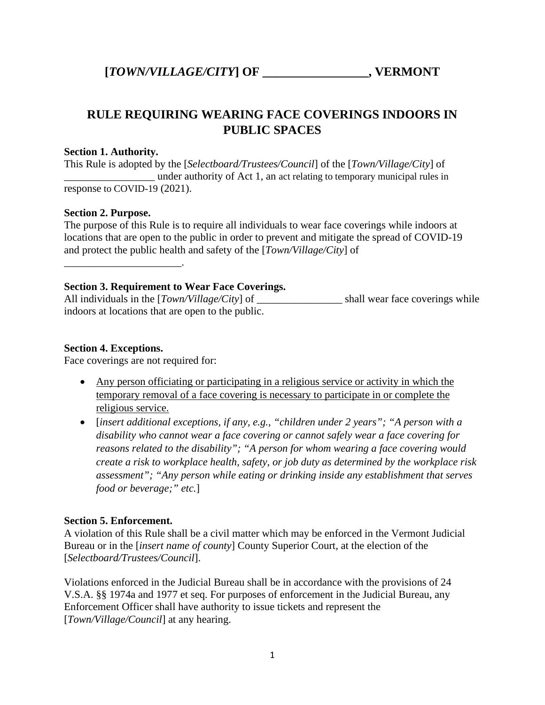## **RULE REQUIRING WEARING FACE COVERINGS INDOORS IN PUBLIC SPACES**

## **Section 1. Authority.**

This Rule is adopted by the [*Selectboard/Trustees/Council*] of the [*Town/Village/City*] of \_\_\_\_\_\_\_\_\_\_\_\_\_\_\_\_\_ under authority of Act 1, an act relating to temporary municipal rules in response to COVID-19 (2021).

## **Section 2. Purpose.**

The purpose of this Rule is to require all individuals to wear face coverings while indoors at locations that are open to the public in order to prevent and mitigate the spread of COVID-19 and protect the public health and safety of the [*Town/Village/City*] of

\_\_\_\_\_\_\_\_\_\_\_\_\_\_\_\_\_\_\_\_\_\_.

## **Section 3. Requirement to Wear Face Coverings.**

All individuals in the [*Town/Village/City*] of \_\_\_\_\_\_\_\_\_\_\_\_\_\_\_\_ shall wear face coverings while indoors at locations that are open to the public.

## **Section 4. Exceptions.**

Face coverings are not required for:

- Any person officiating or participating in a religious service or activity in which the temporary removal of a face covering is necessary to participate in or complete the religious service.
- [*insert additional exceptions, if any, e.g., "children under 2 years"; "A person with a disability who cannot wear a face covering or cannot safely wear a face covering for reasons related to the disability"; "A person for whom wearing a face covering would create a risk to workplace health, safety, or job duty as determined by the workplace risk assessment"; "Any person while eating or drinking inside any establishment that serves food or beverage;" etc.*]

## **Section 5. Enforcement.**

A violation of this Rule shall be a civil matter which may be enforced in the Vermont Judicial Bureau or in the [*insert name of county*] County Superior Court, at the election of the [*Selectboard/Trustees/Council*].

Violations enforced in the Judicial Bureau shall be in accordance with the provisions of 24 V.S.A. §§ 1974a and 1977 et seq. For purposes of enforcement in the Judicial Bureau, any Enforcement Officer shall have authority to issue tickets and represent the [*Town/Village/Council*] at any hearing.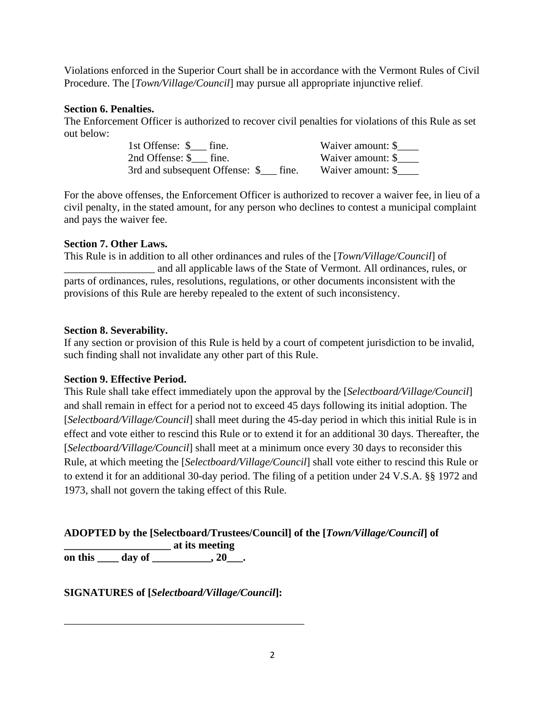Violations enforced in the Superior Court shall be in accordance with the Vermont Rules of Civil Procedure. The [*Town/Village/Council*] may pursue all appropriate injunctive relief.

## **Section 6. Penalties.**

The Enforcement Officer is authorized to recover civil penalties for violations of this Rule as set out below:

| 1st Offense: \$ fine.                   | Waiver amount: \$ |
|-----------------------------------------|-------------------|
| 2nd Offense: \$ fine.                   | Waiver amount: \$ |
| 3rd and subsequent Offense: \$<br>fine. | Waiver amount: \$ |

For the above offenses, the Enforcement Officer is authorized to recover a waiver fee, in lieu of a civil penalty, in the stated amount, for any person who declines to contest a municipal complaint and pays the waiver fee.

## **Section 7. Other Laws.**

This Rule is in addition to all other ordinances and rules of the [*Town/Village/Council*] of and all applicable laws of the State of Vermont. All ordinances, rules, or parts of ordinances, rules, resolutions, regulations, or other documents inconsistent with the provisions of this Rule are hereby repealed to the extent of such inconsistency.

## **Section 8. Severability.**

If any section or provision of this Rule is held by a court of competent jurisdiction to be invalid, such finding shall not invalidate any other part of this Rule.

## **Section 9. Effective Period.**

This Rule shall take effect immediately upon the approval by the [*Selectboard/Village/Council*] and shall remain in effect for a period not to exceed 45 days following its initial adoption. The [*Selectboard/Village/Council*] shall meet during the 45-day period in which this initial Rule is in effect and vote either to rescind this Rule or to extend it for an additional 30 days. Thereafter, the [*Selectboard/Village/Council*] shall meet at a minimum once every 30 days to reconsider this Rule, at which meeting the [*Selectboard/Village/Council*] shall vote either to rescind this Rule or to extend it for an additional 30-day period. The filing of a petition under 24 V.S.A. §§ 1972 and 1973, shall not govern the taking effect of this Rule.

**ADOPTED by the [Selectboard/Trustees/Council] of the [***Town/Village/Council***] of \_\_\_\_\_\_\_\_\_\_\_\_\_\_\_\_\_\_\_\_ at its meeting**  on this day of \_\_\_\_\_\_\_\_, 20\_\_\_.

**SIGNATURES of [***Selectboard/Village/Council***]:**

\_\_\_\_\_\_\_\_\_\_\_\_\_\_\_\_\_\_\_\_\_\_\_\_\_\_\_\_\_\_\_\_\_\_\_\_\_\_\_\_\_\_\_\_\_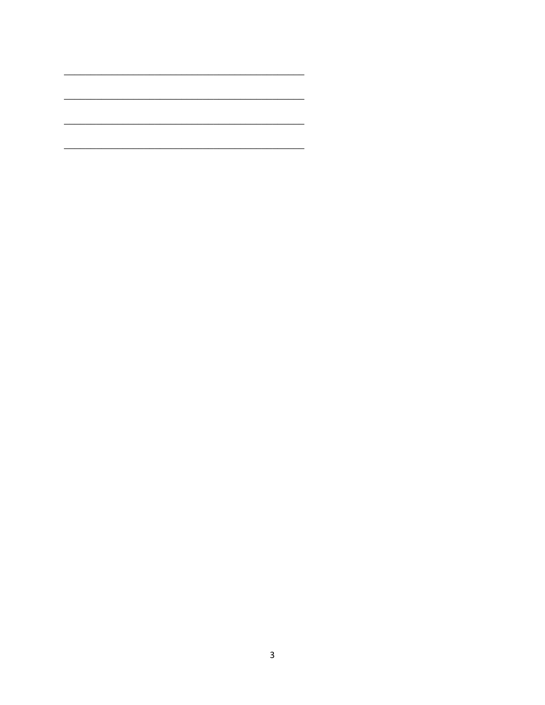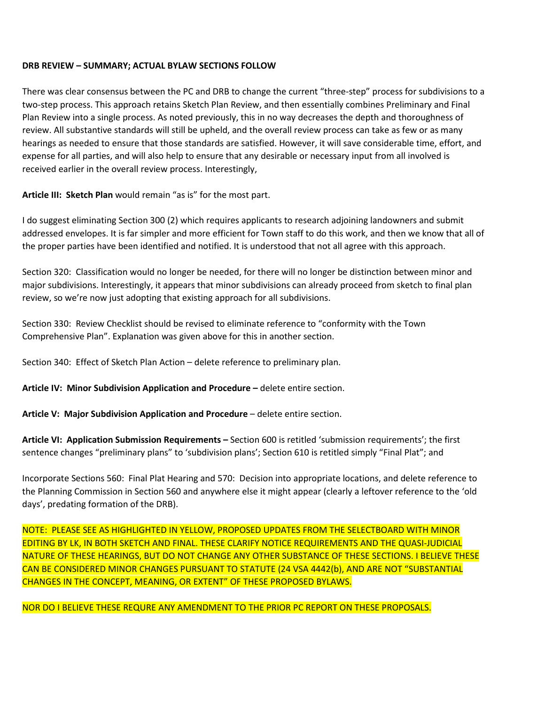#### **DRB REVIEW – SUMMARY; ACTUAL BYLAW SECTIONS FOLLOW**

There was clear consensus between the PC and DRB to change the current "three-step" process for subdivisions to a two-step process. This approach retains Sketch Plan Review, and then essentially combines Preliminary and Final Plan Review into a single process. As noted previously, this in no way decreases the depth and thoroughness of review. All substantive standards will still be upheld, and the overall review process can take as few or as many hearings as needed to ensure that those standards are satisfied. However, it will save considerable time, effort, and expense for all parties, and will also help to ensure that any desirable or necessary input from all involved is received earlier in the overall review process. Interestingly,

**Article III: Sketch Plan** would remain "as is" for the most part.

I do suggest eliminating Section 300 (2) which requires applicants to research adjoining landowners and submit addressed envelopes. It is far simpler and more efficient for Town staff to do this work, and then we know that all of the proper parties have been identified and notified. It is understood that not all agree with this approach.

Section 320: Classification would no longer be needed, for there will no longer be distinction between minor and major subdivisions. Interestingly, it appears that minor subdivisions can already proceed from sketch to final plan review, so we're now just adopting that existing approach for all subdivisions.

Section 330: Review Checklist should be revised to eliminate reference to "conformity with the Town Comprehensive Plan". Explanation was given above for this in another section.

Section 340: Effect of Sketch Plan Action – delete reference to preliminary plan.

**Article IV: Minor Subdivision Application and Procedure –** delete entire section.

**Article V: Major Subdivision Application and Procedure** – delete entire section.

**Article VI: Application Submission Requirements –** Section 600 is retitled 'submission requirements'; the first sentence changes "preliminary plans" to 'subdivision plans'; Section 610 is retitled simply "Final Plat"; and

Incorporate Sections 560: Final Plat Hearing and 570: Decision into appropriate locations, and delete reference to the Planning Commission in Section 560 and anywhere else it might appear (clearly a leftover reference to the 'old days', predating formation of the DRB).

NOTE: PLEASE SEE AS HIGHLIGHTED IN YELLOW, PROPOSED UPDATES FROM THE SELECTBOARD WITH MINOR EDITING BY LK, IN BOTH SKETCH AND FINAL. THESE CLARIFY NOTICE REQUIREMENTS AND THE QUASI-JUDICIAL NATURE OF THESE HEARINGS, BUT DO NOT CHANGE ANY OTHER SUBSTANCE OF THESE SECTIONS. I BELIEVE THESE CAN BE CONSIDERED MINOR CHANGES PURSUANT TO STATUTE (24 VSA 4442(b), AND ARE NOT "SUBSTANTIAL CHANGES IN THE CONCEPT, MEANING, OR EXTENT" OF THESE PROPOSED BYLAWS.

NOR DO I BELIEVE THESE REQURE ANY AMENDMENT TO THE PRIOR PC REPORT ON THESE PROPOSALS.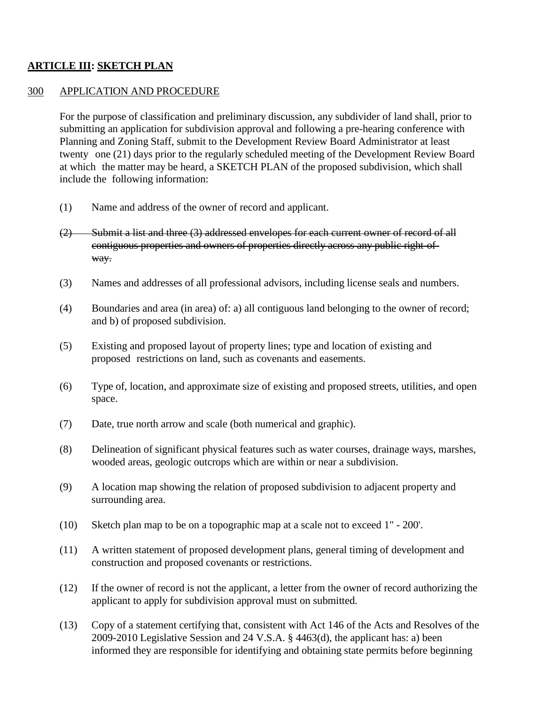## **ARTICLE III: SKETCH PLAN**

## 300 APPLICATION AND PROCEDURE

For the purpose of classification and preliminary discussion, any subdivider of land shall, prior to submitting an application for subdivision approval and following a pre-hearing conference with Planning and Zoning Staff, submit to the Development Review Board Administrator at least twenty one (21) days prior to the regularly scheduled meeting of the Development Review Board at which the matter may be heard, a SKETCH PLAN of the proposed subdivision, which shall include the following information:

- (1) Name and address of the owner of record and applicant.
- (2) Submit a list and three (3) addressed envelopes for each current owner of record of all contiguous properties and owners of properties directly across any public right-ofway.
- (3) Names and addresses of all professional advisors, including license seals and numbers.
- (4) Boundaries and area (in area) of: a) all contiguous land belonging to the owner of record; and b) of proposed subdivision.
- (5) Existing and proposed layout of property lines; type and location of existing and proposed restrictions on land, such as covenants and easements.
- (6) Type of, location, and approximate size of existing and proposed streets, utilities, and open space.
- (7) Date, true north arrow and scale (both numerical and graphic).
- (8) Delineation of significant physical features such as water courses, drainage ways, marshes, wooded areas, geologic outcrops which are within or near a subdivision.
- (9) A location map showing the relation of proposed subdivision to adjacent property and surrounding area.
- (10) Sketch plan map to be on a topographic map at a scale not to exceed 1" 200'.
- (11) A written statement of proposed development plans, general timing of development and construction and proposed covenants or restrictions.
- (12) If the owner of record is not the applicant, a letter from the owner of record authorizing the applicant to apply for subdivision approval must on submitted.
- (13) Copy of a statement certifying that, consistent with Act 146 of the Acts and Resolves of the 2009-2010 Legislative Session and 24 V.S.A. § 4463(d), the applicant has: a) been informed they are responsible for identifying and obtaining state permits before beginning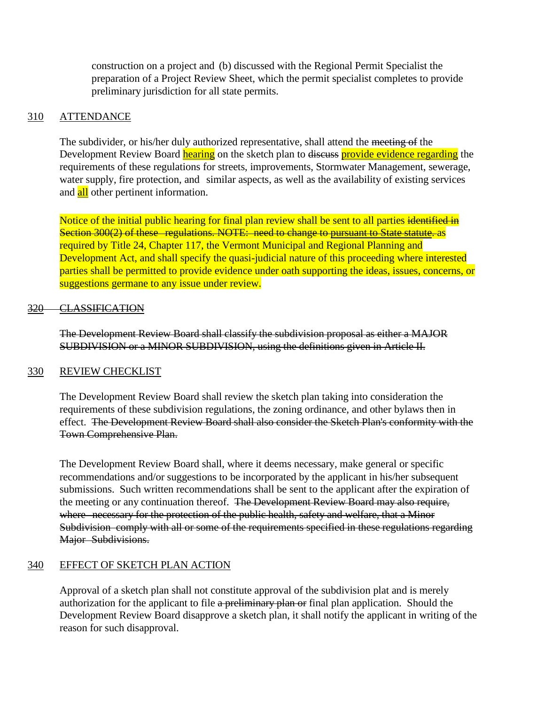construction on a project and (b) discussed with the Regional Permit Specialist the preparation of a Project Review Sheet, which the permit specialist completes to provide preliminary jurisdiction for all state permits.

## 310 ATTENDANCE

The subdivider, or his/her duly authorized representative, shall attend the meeting of the Development Review Board hearing on the sketch plan to discuss provide evidence regarding the requirements of these regulations for streets, improvements, Stormwater Management, sewerage, water supply, fire protection, and similar aspects, as well as the availability of existing services and **all** other pertinent information.

Notice of the initial public hearing for final plan review shall be sent to all parties identified in Section 300(2) of these regulations. NOTE: need to change to pursuant to State statute. as required by Title 24, Chapter 117, the Vermont Municipal and Regional Planning and Development Act, and shall specify the quasi-judicial nature of this proceeding where interested parties shall be permitted to provide evidence under oath supporting the ideas, issues, concerns, or suggestions germane to any issue under review.

## 320 CLASSIFICATION

The Development Review Board shall classify the subdivision proposal as either a MAJOR SUBDIVISION or a MINOR SUBDIVISION, using the definitions given in Article II.

## 330 REVIEW CHECKLIST

The Development Review Board shall review the sketch plan taking into consideration the requirements of these subdivision regulations, the zoning ordinance, and other bylaws then in effect. The Development Review Board shall also consider the Sketch Plan's conformity with the Town Comprehensive Plan.

The Development Review Board shall, where it deems necessary, make general or specific recommendations and/or suggestions to be incorporated by the applicant in his/her subsequent submissions. Such written recommendations shall be sent to the applicant after the expiration of the meeting or any continuation thereof. The Development Review Board may also require, where necessary for the protection of the public health, safety and welfare, that a Minor Subdivision comply with all or some of the requirements specified in these regulations regarding Major Subdivisions.

## 340 EFFECT OF SKETCH PLAN ACTION

Approval of a sketch plan shall not constitute approval of the subdivision plat and is merely authorization for the applicant to file a preliminary plan or final plan application. Should the Development Review Board disapprove a sketch plan, it shall notify the applicant in writing of the reason for such disapproval.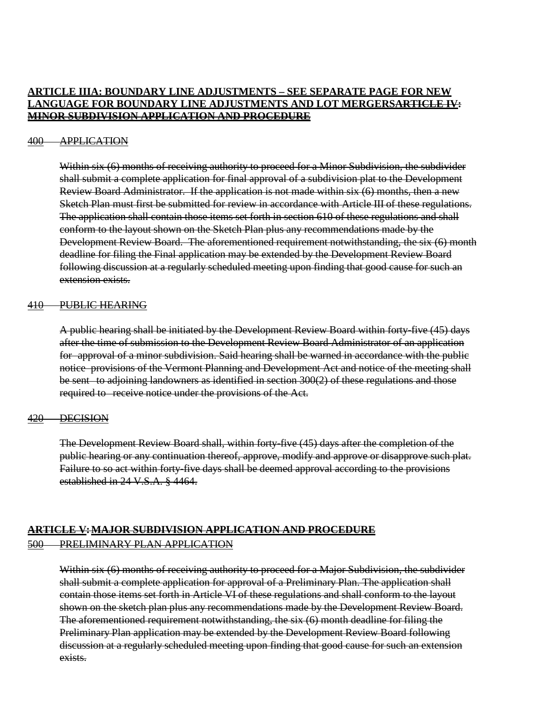## **ARTICLE IIIA: BOUNDARY LINE ADJUSTMENTS – SEE SEPARATE PAGE FOR NEW LANGUAGE FOR BOUNDARY LINE ADJUSTMENTS AND LOT MERGERSARTICLE IV: MINOR SUBDIVISION APPLICATION AND PROCEDURE**

## 400 APPLICATION

Within six (6) months of receiving authority to proceed for a Minor Subdivision, the subdivider shall submit a complete application for final approval of a subdivision plat to the Development Review Board Administrator. If the application is not made within six (6) months, then a new Sketch Plan must first be submitted for review in accordance with Article III of these regulations. The application shall contain those items set forth in section 610 of these regulations and shall conform to the layout shown on the Sketch Plan plus any recommendations made by the Development Review Board. The aforementioned requirement notwithstanding, the six (6) month deadline for filing the Final application may be extended by the Development Review Board following discussion at a regularly scheduled meeting upon finding that good cause for such an extension exists.

#### 410 PUBLIC HEARING

A public hearing shall be initiated by the Development Review Board within forty-five (45) days after the time of submission to the Development Review Board Administrator of an application for approval of a minor subdivision. Said hearing shall be warned in accordance with the public notice provisions of the Vermont Planning and Development Act and notice of the meeting shall be sent to adjoining landowners as identified in section 300(2) of these regulations and those required to receive notice under the provisions of the Act.

#### 420 DECISION

The Development Review Board shall, within forty-five (45) days after the completion of the public hearing or any continuation thereof, approve, modify and approve or disapprove such plat. Failure to so act within forty-five days shall be deemed approval according to the provisions established in 24 V.S.A. § 4464.

## **ARTICLE V:MAJOR SUBDIVISION APPLICATION AND PROCEDURE** 500 PRELIMINARY PLAN APPLICATION

Within six (6) months of receiving authority to proceed for a Major Subdivision, the subdivider shall submit a complete application for approval of a Preliminary Plan. The application shall contain those items set forth in Article VI of these regulations and shall conform to the layout shown on the sketch plan plus any recommendations made by the Development Review Board. The aforementioned requirement notwithstanding, the six (6) month deadline for filing the Preliminary Plan application may be extended by the Development Review Board following discussion at a regularly scheduled meeting upon finding that good cause for such an extension exists.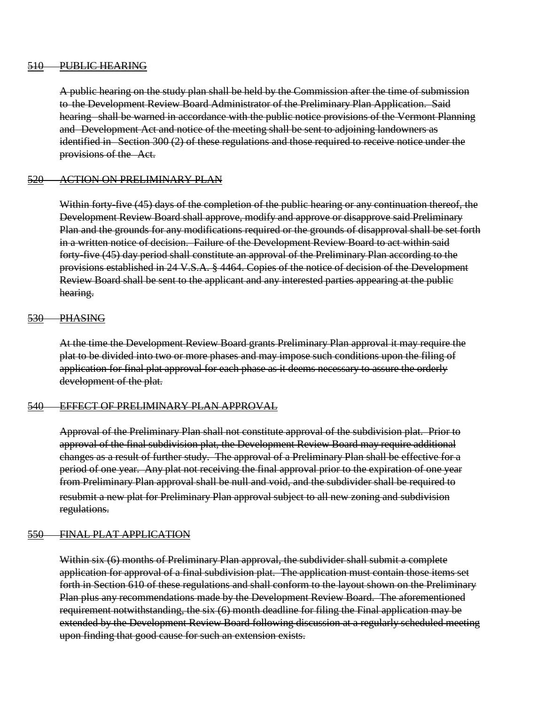## 510 PUBLIC HEARING

A public hearing on the study plan shall be held by the Commission after the time of submission to the Development Review Board Administrator of the Preliminary Plan Application. Said hearing shall be warned in accordance with the public notice provisions of the Vermont Planning and Development Act and notice of the meeting shall be sent to adjoining landowners as identified in Section 300 (2) of these regulations and those required to receive notice under the provisions of the Act.

## 520 ACTION ON PRELIMINARY PLAN

Within forty-five (45) days of the completion of the public hearing or any continuation thereof, the Development Review Board shall approve, modify and approve or disapprove said Preliminary Plan and the grounds for any modifications required or the grounds of disapproval shall be set forth in a written notice of decision. Failure of the Development Review Board to act within said forty-five (45) day period shall constitute an approval of the Preliminary Plan according to the provisions established in 24 V.S.A. § 4464. Copies of the notice of decision of the Development Review Board shall be sent to the applicant and any interested parties appearing at the public hearing.

## 530 PHASING

At the time the Development Review Board grants Preliminary Plan approval it may require the plat to be divided into two or more phases and may impose such conditions upon the filing of application for final plat approval for each phase as it deems necessary to assure the orderly development of the plat.

#### 540 EFFECT OF PRELIMINARY PLAN APPROVAL

Approval of the Preliminary Plan shall not constitute approval of the subdivision plat. Prior to approval of the final subdivision plat, the Development Review Board may require additional changes as a result of further study. The approval of a Preliminary Plan shall be effective for a period of one year. Any plat not receiving the final approval prior to the expiration of one year from Preliminary Plan approval shall be null and void, and the subdivider shall be required to resubmit a new plat for Preliminary Plan approval subject to all new zoning and subdivision regulations.

#### 550 FINAL PLAT APPLICATION

Within six (6) months of Preliminary Plan approval, the subdivider shall submit a complete application for approval of a final subdivision plat. The application must contain those items set forth in Section 610 of these regulations and shall conform to the layout shown on the Preliminary Plan plus any recommendations made by the Development Review Board. The aforementioned requirement notwithstanding, the six (6) month deadline for filing the Final application may be extended by the Development Review Board following discussion at a regularly scheduled meeting upon finding that good cause for such an extension exists.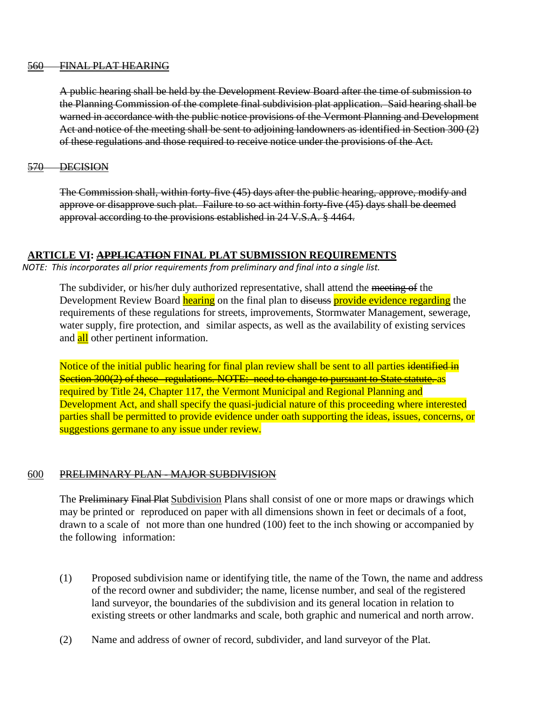## 560 FINAL PLAT HEARING

A public hearing shall be held by the Development Review Board after the time of submission to the Planning Commission of the complete final subdivision plat application. Said hearing shall be warned in accordance with the public notice provisions of the Vermont Planning and Development Act and notice of the meeting shall be sent to adjoining landowners as identified in Section 300 (2) of these regulations and those required to receive notice under the provisions of the Act.

## 570 DECISION

The Commission shall, within forty-five (45) days after the public hearing, approve, modify and approve or disapprove such plat. Failure to so act within forty-five (45) days shall be deemed approval according to the provisions established in 24 V.S.A. § 4464.

## **ARTICLE VI: APPLICATION FINAL PLAT SUBMISSION REQUIREMENTS**

*NOTE: This incorporates all prior requirements from preliminary and final into a single list.*

The subdivider, or his/her duly authorized representative, shall attend the meeting of the Development Review Board **hearing** on the final plan to discuss provide evidence regarding the requirements of these regulations for streets, improvements, Stormwater Management, sewerage, water supply, fire protection, and similar aspects, as well as the availability of existing services and all other pertinent information.

Notice of the initial public hearing for final plan review shall be sent to all parties identified in Section 300(2) of these regulations. NOTE: need to change to pursuant to State statute. as required by Title 24, Chapter 117, the Vermont Municipal and Regional Planning and Development Act, and shall specify the quasi-judicial nature of this proceeding where interested parties shall be permitted to provide evidence under oath supporting the ideas, issues, concerns, or suggestions germane to any issue under review.

## 600 PRELIMINARY PLAN - MAJOR SUBDIVISION

The Preliminary Final Plat Subdivision Plans shall consist of one or more maps or drawings which may be printed or reproduced on paper with all dimensions shown in feet or decimals of a foot, drawn to a scale of not more than one hundred (100) feet to the inch showing or accompanied by the following information:

- (1) Proposed subdivision name or identifying title, the name of the Town, the name and address of the record owner and subdivider; the name, license number, and seal of the registered land surveyor, the boundaries of the subdivision and its general location in relation to existing streets or other landmarks and scale, both graphic and numerical and north arrow.
- (2) Name and address of owner of record, subdivider, and land surveyor of the Plat.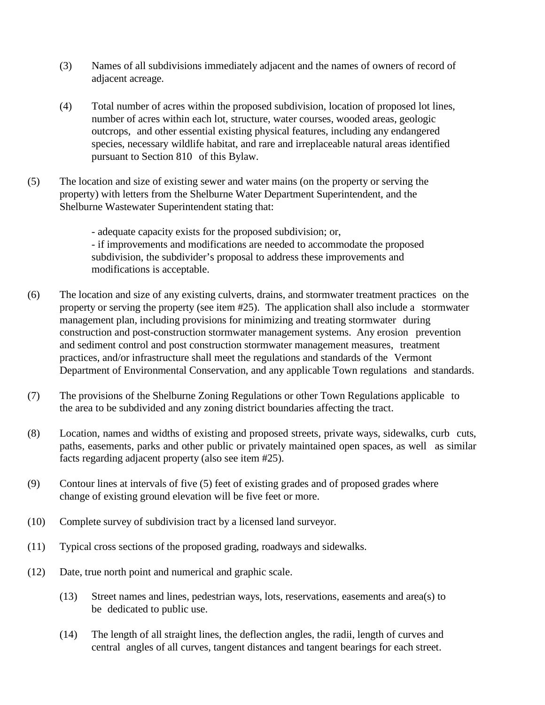- (3) Names of all subdivisions immediately adjacent and the names of owners of record of adjacent acreage.
- (4) Total number of acres within the proposed subdivision, location of proposed lot lines, number of acres within each lot, structure, water courses, wooded areas, geologic outcrops, and other essential existing physical features, including any endangered species, necessary wildlife habitat, and rare and irreplaceable natural areas identified pursuant to Section 810 of this Bylaw.
- (5) The location and size of existing sewer and water mains (on the property or serving the property) with letters from the Shelburne Water Department Superintendent, and the Shelburne Wastewater Superintendent stating that:

- adequate capacity exists for the proposed subdivision; or, - if improvements and modifications are needed to accommodate the proposed subdivision, the subdivider's proposal to address these improvements and modifications is acceptable.

- (6) The location and size of any existing culverts, drains, and stormwater treatment practices on the property or serving the property (see item #25). The application shall also include a stormwater management plan, including provisions for minimizing and treating stormwater during construction and post-construction stormwater management systems. Any erosion prevention and sediment control and post construction stormwater management measures, treatment practices, and/or infrastructure shall meet the regulations and standards of the Vermont Department of Environmental Conservation, and any applicable Town regulations and standards.
- (7) The provisions of the Shelburne Zoning Regulations or other Town Regulations applicable to the area to be subdivided and any zoning district boundaries affecting the tract.
- (8) Location, names and widths of existing and proposed streets, private ways, sidewalks, curb cuts, paths, easements, parks and other public or privately maintained open spaces, as well as similar facts regarding adjacent property (also see item #25).
- (9) Contour lines at intervals of five (5) feet of existing grades and of proposed grades where change of existing ground elevation will be five feet or more.
- (10) Complete survey of subdivision tract by a licensed land surveyor.
- (11) Typical cross sections of the proposed grading, roadways and sidewalks.
- (12) Date, true north point and numerical and graphic scale.
	- (13) Street names and lines, pedestrian ways, lots, reservations, easements and area(s) to be dedicated to public use.
	- (14) The length of all straight lines, the deflection angles, the radii, length of curves and central angles of all curves, tangent distances and tangent bearings for each street.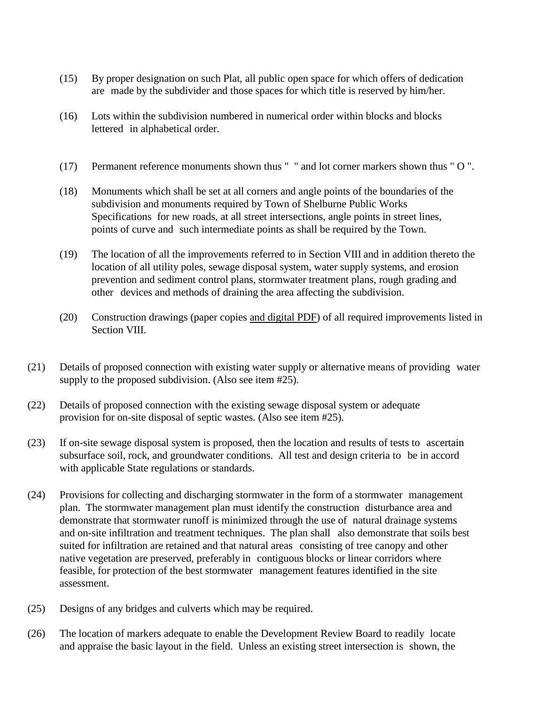- (15) By proper designation on such Plat, all public open space for which offers of dedication are made by the subdivider and those spaces for which title is reserved by him/her.
- (16) Lots within the subdivision numbered in numerical order within blocks and blocks lettered in alphabetical order.
- (17) Permanent reference monuments shown thus " " and lot corner markers shown thus " O ".
- (18) Monuments which shall be set at all corners and angle points of the boundaries of the subdivision and monuments required by Town of Shelburne Public Works Specifications for new roads, at all street intersections, angle points in street lines, points of curve and such intermediate points as shall be required by the Town.
- (19) The location of all the improvements referred to in Section VIII and in addition thereto the location of all utility poles, sewage disposal system, water supply systems, and erosion prevention and sediment control plans, stormwater treatment plans, rough grading and other devices and methods of draining the area affecting the subdivision.
- (20) Construction drawings (paper copies and digital PDF) of all required improvements listed in Section VIII.
- (21) Details of proposed connection with existing water supply or alternative means of providing water supply to the proposed subdivision. (Also see item #25).
- (22) Details of proposed connection with the existing sewage disposal system or adequate provision for on-site disposal of septic wastes. (Also see item #25).
- (23) If on-site sewage disposal system is proposed, then the location and results of tests to ascertain subsurface soil, rock, and groundwater conditions. All test and design criteria to be in accord with applicable State regulations or standards.
- (24) Provisions for collecting and discharging stormwater in the form of a stormwater management plan. The stormwater management plan must identify the construction disturbance area and demonstrate that stormwater runoff is minimized through the use of natural drainage systems and on-site infiltration and treatment techniques. The plan shall also demonstrate that soils best suited for infiltration are retained and that natural areas consisting of tree canopy and other native vegetation are preserved, preferably in contiguous blocks or linear corridors where feasible, for protection of the best stormwater management features identified in the site assessment.
- (25) Designs of any bridges and culverts which may be required.
- (26) The location of markers adequate to enable the Development Review Board to readily locate and appraise the basic layout in the field. Unless an existing street intersection is shown, the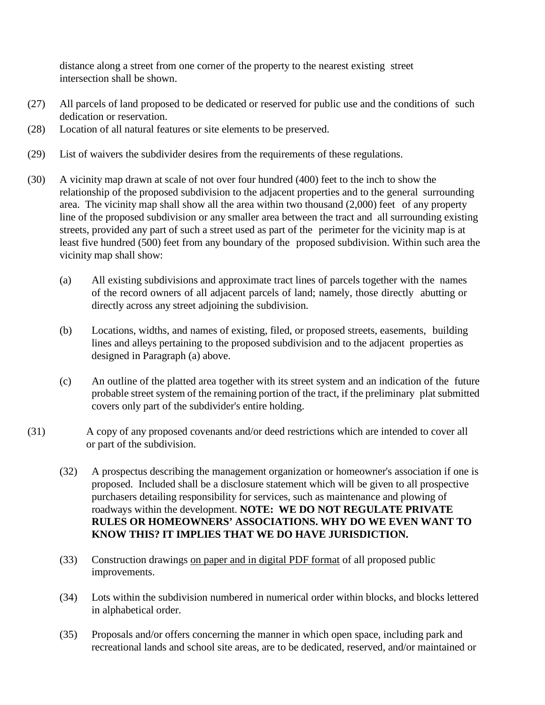distance along a street from one corner of the property to the nearest existing street intersection shall be shown.

- (27) All parcels of land proposed to be dedicated or reserved for public use and the conditions of such dedication or reservation.
- (28) Location of all natural features or site elements to be preserved.
- (29) List of waivers the subdivider desires from the requirements of these regulations.
- (30) A vicinity map drawn at scale of not over four hundred (400) feet to the inch to show the relationship of the proposed subdivision to the adjacent properties and to the general surrounding area. The vicinity map shall show all the area within two thousand (2,000) feet of any property line of the proposed subdivision or any smaller area between the tract and all surrounding existing streets, provided any part of such a street used as part of the perimeter for the vicinity map is at least five hundred (500) feet from any boundary of the proposed subdivision. Within such area the vicinity map shall show:
	- (a) All existing subdivisions and approximate tract lines of parcels together with the names of the record owners of all adjacent parcels of land; namely, those directly abutting or directly across any street adjoining the subdivision.
	- (b) Locations, widths, and names of existing, filed, or proposed streets, easements, building lines and alleys pertaining to the proposed subdivision and to the adjacent properties as designed in Paragraph (a) above.
	- (c) An outline of the platted area together with its street system and an indication of the future probable street system of the remaining portion of the tract, if the preliminary plat submitted covers only part of the subdivider's entire holding.
- (31) A copy of any proposed covenants and/or deed restrictions which are intended to cover all or part of the subdivision.
	- (32) A prospectus describing the management organization or homeowner's association if one is proposed. Included shall be a disclosure statement which will be given to all prospective purchasers detailing responsibility for services, such as maintenance and plowing of roadways within the development. **NOTE: WE DO NOT REGULATE PRIVATE RULES OR HOMEOWNERS' ASSOCIATIONS. WHY DO WE EVEN WANT TO KNOW THIS? IT IMPLIES THAT WE DO HAVE JURISDICTION.**
	- (33) Construction drawings on paper and in digital PDF format of all proposed public improvements.
	- (34) Lots within the subdivision numbered in numerical order within blocks, and blocks lettered in alphabetical order.
	- (35) Proposals and/or offers concerning the manner in which open space, including park and recreational lands and school site areas, are to be dedicated, reserved, and/or maintained or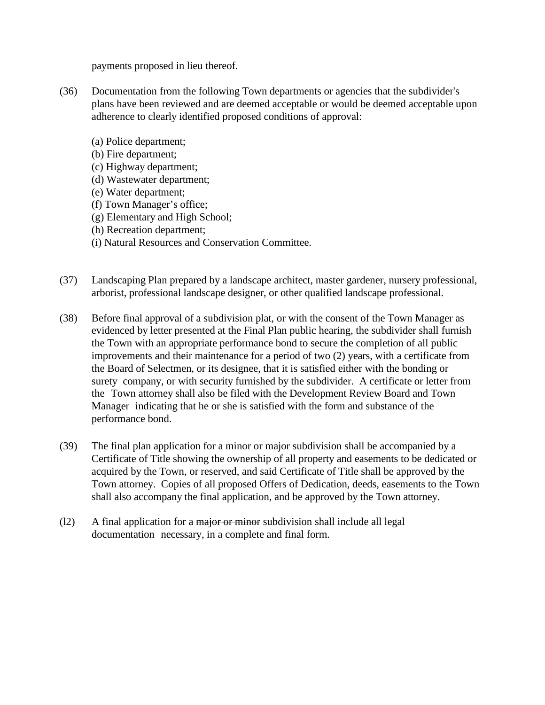payments proposed in lieu thereof.

- (36) Documentation from the following Town departments or agencies that the subdivider's plans have been reviewed and are deemed acceptable or would be deemed acceptable upon adherence to clearly identified proposed conditions of approval:
	- (a) Police department;
	- (b) Fire department;
	- (c) Highway department;
	- (d) Wastewater department;
	- (e) Water department;
	- (f) Town Manager's office;
	- (g) Elementary and High School;
	- (h) Recreation department;
	- (i) Natural Resources and Conservation Committee.
- (37) Landscaping Plan prepared by a landscape architect, master gardener, nursery professional, arborist, professional landscape designer, or other qualified landscape professional.
- (38) Before final approval of a subdivision plat, or with the consent of the Town Manager as evidenced by letter presented at the Final Plan public hearing, the subdivider shall furnish the Town with an appropriate performance bond to secure the completion of all public improvements and their maintenance for a period of two (2) years, with a certificate from the Board of Selectmen, or its designee, that it is satisfied either with the bonding or surety company, or with security furnished by the subdivider. A certificate or letter from the Town attorney shall also be filed with the Development Review Board and Town Manager indicating that he or she is satisfied with the form and substance of the performance bond.
- (39) The final plan application for a minor or major subdivision shall be accompanied by a Certificate of Title showing the ownership of all property and easements to be dedicated or acquired by the Town, or reserved, and said Certificate of Title shall be approved by the Town attorney. Copies of all proposed Offers of Dedication, deeds, easements to the Town shall also accompany the final application, and be approved by the Town attorney.
- $(12)$  A final application for a major or minor subdivision shall include all legal documentation necessary, in a complete and final form.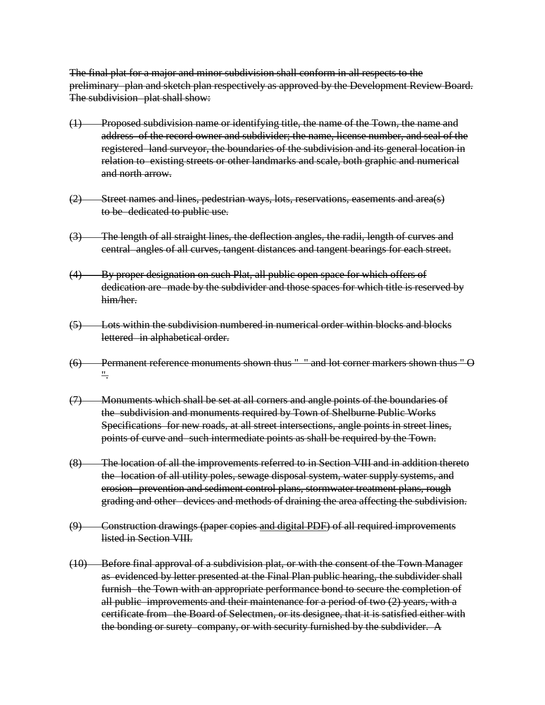The final plat for a major and minor subdivision shall conform in all respects to the preliminary plan and sketch plan respectively as approved by the Development Review Board. The subdivision plat shall show:

- (1) Proposed subdivision name or identifying title, the name of the Town, the name and address of the record owner and subdivider; the name, license number, and seal of the registered land surveyor, the boundaries of the subdivision and its general location in relation to existing streets or other landmarks and scale, both graphic and numerical and north arrow.
- (2) Street names and lines, pedestrian ways, lots, reservations, easements and area(s) to be dedicated to public use.
- (3) The length of all straight lines, the deflection angles, the radii, length of curves and central angles of all curves, tangent distances and tangent bearings for each street.
- (4) By proper designation on such Plat, all public open space for which offers of dedication are made by the subdivider and those spaces for which title is reserved by him/her.
- (5) Lots within the subdivision numbered in numerical order within blocks and blocks lettered in alphabetical order.
- (6) Permanent reference monuments shown thus " " and lot corner markers shown thus " O ".
- (7) Monuments which shall be set at all corners and angle points of the boundaries of the subdivision and monuments required by Town of Shelburne Public Works Specifications for new roads, at all street intersections, angle points in street lines, points of curve and such intermediate points as shall be required by the Town.
- (8) The location of all the improvements referred to in Section VIII and in addition thereto the location of all utility poles, sewage disposal system, water supply systems, and erosion prevention and sediment control plans, stormwater treatment plans, rough grading and other devices and methods of draining the area affecting the subdivision.
- (9) Construction drawings (paper copies and digital PDF) of all required improvements listed in Section VIII.
- (10) Before final approval of a subdivision plat, or with the consent of the Town Manager as evidenced by letter presented at the Final Plan public hearing, the subdivider shall furnish the Town with an appropriate performance bond to secure the completion of all public improvements and their maintenance for a period of two (2) years, with a certificate from the Board of Selectmen, or its designee, that it is satisfied either with the bonding or surety company, or with security furnished by the subdivider. A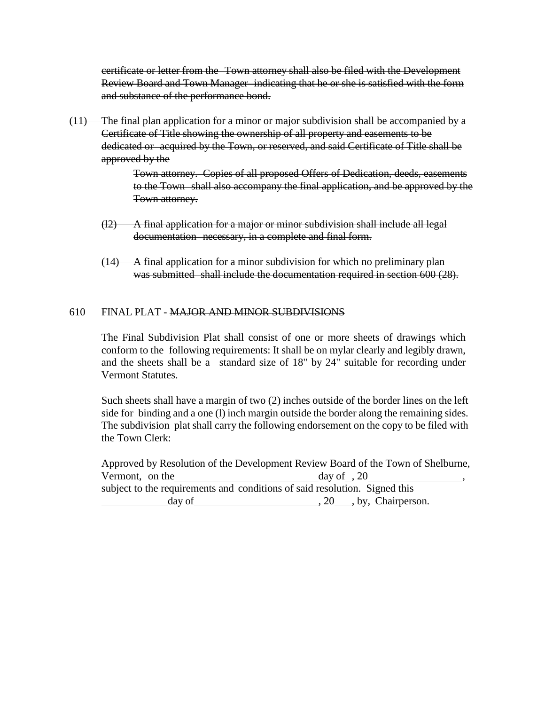certificate or letter from the Town attorney shall also be filed with the Development Review Board and Town Manager indicating that he or she is satisfied with the form and substance of the performance bond.

(11) The final plan application for a minor or major subdivision shall be accompanied by a Certificate of Title showing the ownership of all property and easements to be dedicated or acquired by the Town, or reserved, and said Certificate of Title shall be approved by the

> Town attorney. Copies of all proposed Offers of Dedication, deeds, easements to the Town shall also accompany the final application, and be approved by the Town attorney.

- (l2) A final application for a major or minor subdivision shall include all legal documentation necessary, in a complete and final form.
- (14) A final application for a minor subdivision for which no preliminary plan was submitted shall include the documentation required in section 600 (28).

## 610 FINAL PLAT - MAJOR AND MINOR SUBDIVISIONS

The Final Subdivision Plat shall consist of one or more sheets of drawings which conform to the following requirements: It shall be on mylar clearly and legibly drawn, and the sheets shall be a standard size of 18" by 24" suitable for recording under Vermont Statutes.

Such sheets shall have a margin of two (2) inches outside of the border lines on the left side for binding and a one (l) inch margin outside the border along the remaining sides. The subdivision plat shall carry the following endorsement on the copy to be filed with the Town Clerk:

Approved by Resolution of the Development Review Board of the Town of Shelburne, Vermont, on the day of , 20 subject to the requirements and conditions of said resolution. Signed this day of  $\_\_\_\_\_\_\_\_\_\_\_\_\_\_\_\_\_\_\_\_\_\,\$